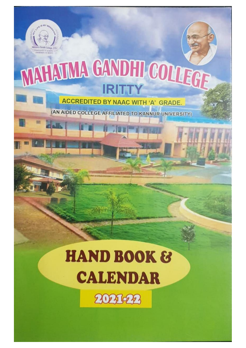

# **NAHAJMA GANDHI COLLEGE IRITTY**

**ACCREDITED BY NAAC WITH 'A' GRADE.** 

(AN AIDED COLLEGE AFFILIATED TO KANNUR UNIVERSITY)

# **HAND BOOK & CALENDAR**

2021-22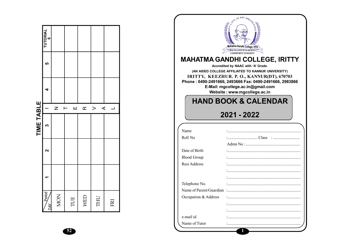|                      |                   | TIME TABLE |                   |   |    |               |
|----------------------|-------------------|------------|-------------------|---|----|---------------|
| $\frac{1}{2}$<br>DAY | $\mathbf{\Omega}$ | m          |                   | 4 | LO | TUTORIAL<br>6 |
| NON                  |                   |            | Z                 |   |    |               |
| TUE                  |                   |            | Ш<br>$\vdash$     |   |    |               |
| WED                  |                   |            | $\alpha$          |   |    |               |
| THU                  |                   |            | $\prec$<br>$\geq$ |   |    |               |
| FRI                  |                   |            | ┙                 |   |    |               |

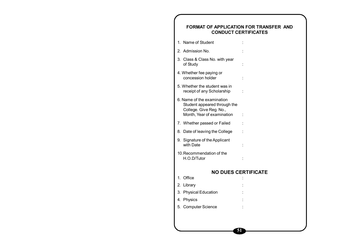# **FORMAT OF APPLICATION FOR TRANSFER AND CONDUCT CERTIFICATES** 1. Name of Student : 2. Admission No. 3. Class & Class No. with year of Study : 4. Whether fee paying or concession holder : 5. Whether the student was in receipt of any Scholarship : 6. Name of the examination Student appeared through the College. Give Reg. No., Month, Year of examination : 7. Whether passed or Failed : 8. Date of leaving the College : 9. Signature of the Applicant with Date in the set of the set of the set of the set of the set of the set of the set of the set of the set o 10.Recommendation of the H.O.D/Tutor : **NO DUES CERTIFICATE** 1. Office : 2. Library 3. Physical Education 4. Physics 5. Computer Science

**51**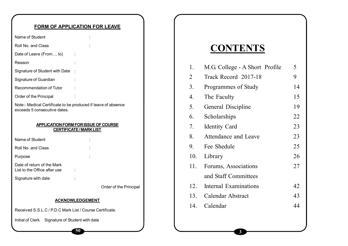# **FORM OF APPLICATION FOR LEAVE**

| Name of Student                                                                               |                                                                      |
|-----------------------------------------------------------------------------------------------|----------------------------------------------------------------------|
| Roll No. and Class                                                                            |                                                                      |
| Date of Leave (From to)                                                                       |                                                                      |
| Reason                                                                                        |                                                                      |
| Signature of Student with Date                                                                |                                                                      |
| Signature of Guardian                                                                         |                                                                      |
| Recommendation of Tutor                                                                       |                                                                      |
| Order of the Principal                                                                        |                                                                      |
| Note:- Medical Certificate to be produced if leave of absence<br>exceeds 5 consecutive dates. |                                                                      |
|                                                                                               | APPLICATION FORM FOR ISSUE OF COURSE<br><b>CERTIFICATE/MARK LIST</b> |
| Name of Student                                                                               |                                                                      |

| namo or olugoni                                            |  |  |
|------------------------------------------------------------|--|--|
| Roll No. and Class                                         |  |  |
| Purpose                                                    |  |  |
| Date of return of the Mark<br>List to the Office after use |  |  |
| Signature with date                                        |  |  |
|                                                            |  |  |

er of the Principal

#### **ACKNOWLEDGEMENT**

**50**

Received S.S.L.C / P.D.C Mark List / Course Certificate.

Initial of Clerk Signature of Student with date

# **CONTENTS**

| 1.  | M.G. College - A Short Profile | 5  |
|-----|--------------------------------|----|
| 2   | Track Record 2017-18           | 9  |
| 3.  | Programmes of Study            | 14 |
| 4.  | The Faculty                    | 15 |
| 5.  | General Discipline             | 19 |
| 6.  | Scholarships                   | 22 |
| 7.  | <b>Identity Card</b>           | 23 |
| 8.  | Attendance and Leave           | 23 |
| 9.  | Fee Shedule                    | 25 |
|     | 10. Library                    | 26 |
| 11. | Forums, Associations           | 27 |
|     | and Staff Committees           |    |
| 12. | <b>Internal Examinations</b>   | 42 |
|     | 13. Calendar Abstract          | 43 |
| 14. | Calendar                       | 44 |
|     |                                |    |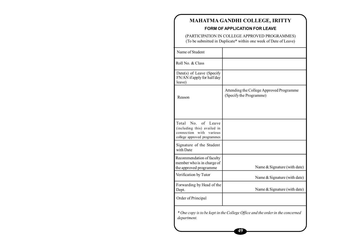# **MAHATMA GANDHI COLLEGE, IRITTY**

#### **FORM OF APPLICATION FOR LEAVE**

(PARTICIPATION IN COLLEGE APPROVED PROGRAMMES) (To be submitted in Duplicate\* within one week of Date of Leave)

| Name of Student                                                                                                           |                                                                     |  |  |  |  |
|---------------------------------------------------------------------------------------------------------------------------|---------------------------------------------------------------------|--|--|--|--|
| Roll No. & Class                                                                                                          |                                                                     |  |  |  |  |
| Date(s) of Leave (Specify<br>FN/AN if apply for half day<br>leave)                                                        |                                                                     |  |  |  |  |
| Reason                                                                                                                    | Attending the College Approved Programme<br>(Specify the Programme) |  |  |  |  |
| No<br>of<br>Total<br>Leave<br>(including this) availed in<br>connection<br>with<br>various<br>college approved programmes |                                                                     |  |  |  |  |
| Signature of the Student<br>with Date                                                                                     |                                                                     |  |  |  |  |
| Recommendation of faculty<br>member who is in charge of<br>the approved programme                                         | Name & Signature (with date)                                        |  |  |  |  |
| Verification by Tutor                                                                                                     | Name & Signature (with date)                                        |  |  |  |  |
| Forwarding by Head of the<br>Dept.                                                                                        | Name & Signature (with date)                                        |  |  |  |  |
| Order of Principal                                                                                                        |                                                                     |  |  |  |  |
| * One copy is to be kept in the College Office and the order in the concerned<br>department.                              |                                                                     |  |  |  |  |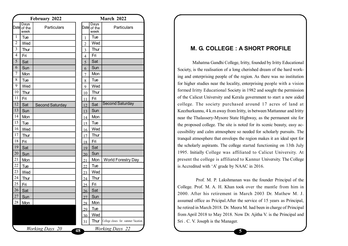| <b>February 2022</b> |                             |                        |    | March 2022     |                        |                                     |  |  |  |
|----------------------|-----------------------------|------------------------|----|----------------|------------------------|-------------------------------------|--|--|--|
|                      | Days<br>Date of the<br>week | Particulars            |    | Date           | Days<br>of the<br>week | Particulars                         |  |  |  |
| $\mathbf{1}$         | Tue                         |                        |    | 1              | Tue                    |                                     |  |  |  |
| $\overline{2}$       | Wed                         |                        |    | $\overline{2}$ | Wed                    |                                     |  |  |  |
| $\overline{3}$       | Thur                        |                        |    | 3              | Thur                   |                                     |  |  |  |
| 4                    | Fri                         |                        |    | 4              | Fri                    |                                     |  |  |  |
| 5                    | Sat                         |                        |    | 5              | Sat                    |                                     |  |  |  |
| 6                    | Sun                         |                        |    | 6              | Sun                    |                                     |  |  |  |
| $\overline{7}$       | Mon                         |                        |    | 7              | Mon                    |                                     |  |  |  |
| 8                    | Tue                         |                        |    | 8              | Tue                    |                                     |  |  |  |
| 9                    | Wed                         |                        |    | 9              | Wed                    |                                     |  |  |  |
| 10                   | Thur                        |                        |    | 10             | Thur                   |                                     |  |  |  |
| 11                   | Fri                         |                        |    | 11             | Fri                    |                                     |  |  |  |
| 12                   | Sat                         | <b>Second Saturday</b> |    | 12             | Sat                    | <b>Second Saturday</b>              |  |  |  |
| 13                   | Sun                         |                        |    | 13             | Sun                    |                                     |  |  |  |
| 14                   | Mon                         |                        |    | 14             | Mon                    |                                     |  |  |  |
| 15                   | Tue                         |                        |    | 15             | Tue                    |                                     |  |  |  |
| 16                   | Wed                         |                        |    | 16             | Wed                    |                                     |  |  |  |
| 17                   | Thur                        |                        |    | 17             | Thur                   |                                     |  |  |  |
| 18                   | Fri                         |                        |    | 18             | Fri                    |                                     |  |  |  |
| 19                   | Sat                         |                        |    | 19             | Sat                    |                                     |  |  |  |
| 20                   | Sun                         |                        |    | 20             | Sun                    |                                     |  |  |  |
| 21                   | Mon                         |                        |    | 21             | Mon                    | <b>World Forestry Day</b>           |  |  |  |
| 22                   | Tue                         |                        |    | 22             | Tue                    |                                     |  |  |  |
| 23                   | Wed                         |                        |    | 23             | Wed                    |                                     |  |  |  |
| 24                   | Thur                        |                        |    | 24             | Thur                   |                                     |  |  |  |
| 25                   | Fri                         |                        |    | 25             | Fri                    |                                     |  |  |  |
| 26                   | Sat                         |                        |    | 26             | Sat                    |                                     |  |  |  |
| 27                   | Sun                         |                        |    | 27             | Sun                    |                                     |  |  |  |
| 28                   | Mon                         |                        |    | 28             | <b>Mon</b>             |                                     |  |  |  |
|                      |                             |                        |    | 29             | <u>Tue</u>             |                                     |  |  |  |
|                      |                             |                        |    | 30             | <b>Wed</b>             |                                     |  |  |  |
|                      |                             |                        |    | 31             | Thur                   | College closes for summer Vacation. |  |  |  |
|                      |                             | <b>Working Days</b> 20 | 48 |                |                        | <b>Working Days 22</b>              |  |  |  |
|                      |                             |                        |    |                |                        |                                     |  |  |  |

# **M. G. COLLEGE : A SHORT PROFILE**

Mahatma Gandhi College, Iritty, founded by Iritty Educational Society, is the realisation of a long cherished dream of the hard working and enterprising people of the region. As there was no institution for higher studies near the locality, enterprising people with a vision formed Iritty Educational Society in 1982 and sought the permission of the Calicut University and Kerala government to start a new aided college. The society purchased around 17 acres of land at Keezhurkunnu, 4 k.m away from Iritty, in between Mattannur and Iritty near the Thalassery-Mysore State Highway, as the permanent site for the proposed college. The site is noted for its scenic beauty, easy accessibility and calm atmosphere so needed for scholarly pursuits. The tranquil atmosphere that envelops the region makes it an ideal spot for the scholarly aspirants. The college started functioning on 13th July 1995. Initially College was affiliated to Calicut University. At present the college is affiliated to Kannur University. The College is Accredited with 'A' grade by NAAC in 2016.

 Prof. M. P. Lakshmanan was the founder Principal of the College. Prof. M. A. H. Khan took over the mantle from him in 2000. After his retirement in March 2003 Dr. Mathew M. J. assumed office as Pricipal.After the service of 15 years as Principal, he retired in March 2018. Dr. Meera M. had been in charge of Principal from April 2018 to May 2018. Now Dr. Ajitha V. is the Principal and Sri . C. V. Joseph is the Manager.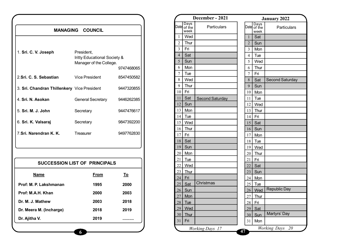|                                             | <b>MANAGING COUNCIL</b>                                                          |                          |
|---------------------------------------------|----------------------------------------------------------------------------------|--------------------------|
| 1. Sri. C. V. Joseph                        | President,<br><b>Iritty Educational Society &amp;</b><br>Manager of the College. |                          |
| 2.Sri. C. S. Sebastian                      | Vice President                                                                   | 9747468065<br>8547450582 |
| 3. Sri. Chandran Thillenkery Vice President |                                                                                  | 9447320855               |
| 4. Sri. N. Asokan                           | <b>General Secretary</b>                                                         | 9446262385               |
| 5. Sri. M. J. John                          | Secretary                                                                        | 9447476617               |
| 6. Sri. K. Valsaraj                         | Secretary                                                                        | 9847392200               |
| 7 Sri, Narendran K. K.                      | Treasurer                                                                        | 9497762830               |

| <b>SUCCESSION LIST OF PRINCIPALS</b> |      |           |
|--------------------------------------|------|-----------|
| Name                                 | From | <u>To</u> |
| Prof: M. P. Lakshmanan               | 1995 | 2000      |
| Prof: M.A.H. Khan                    | 2000 | 2003      |
| Dr. M. J. Mathew                     | 2003 | 2018      |
| Dr. Meera M. (Incharge)              | 2018 | 2019      |
| Dr. Ajitha V.                        | 2019 |           |
|                                      |      |           |

|                |                             | December - 2021        |    |                 |                        | <b>January 2022</b>       |
|----------------|-----------------------------|------------------------|----|-----------------|------------------------|---------------------------|
|                | Days<br>Date of the<br>week | Particulars            |    | Date            | Days<br>of the<br>week | <b>Particulars</b>        |
| $\mathbf{1}$   | Wed                         |                        |    | $\mathbf{1}$    | Sat                    |                           |
| $\overline{2}$ | Thur                        |                        |    | $\overline{2}$  | Sun                    |                           |
| 3              | Fri                         |                        |    | $\overline{3}$  | Mon                    |                           |
| $\overline{4}$ | Sat                         |                        |    | 4               | Tue                    |                           |
| 5              | Sun                         |                        |    | 5               | Wed                    |                           |
| 6              | Mon                         |                        |    | 6               | Thur                   |                           |
| 7              | Tue                         |                        |    | $\overline{7}$  | Fri                    |                           |
| 8              | Wed                         |                        |    | 8               | Sat                    | <b>Second Saturday</b>    |
| 9              | Thur                        |                        |    | 9               | Sun                    |                           |
| 10             | Fri                         |                        |    | 10              | Mon                    |                           |
| 11             | Sat                         | <b>Second Saturday</b> |    | 11              | Tue                    |                           |
| 12             | Sun                         |                        |    | 12              | Wed                    |                           |
| 13             | Mon                         |                        |    | 13              | Thur                   |                           |
| 14             | Tue                         |                        |    | 14              | Fri                    |                           |
| 15             | Wed                         |                        |    | 15              | Sat                    |                           |
| 16             | Thur                        |                        |    | 16              | Sun                    |                           |
| 17             | Fri                         |                        |    | 17              | Mon                    |                           |
| 18             | Sat                         |                        |    | 18              | Tue                    |                           |
| 19             | Sun                         |                        |    | 19              | Wed                    |                           |
| 20             | Mon                         |                        |    | 20              | Thur                   |                           |
| 21             | Tue                         |                        |    | 21              | Fri                    |                           |
| 22             | Wed                         |                        |    | 22              | Sat                    |                           |
| 23             | Thur                        |                        |    | 23              | Sun                    |                           |
| 24             | Fri                         |                        |    | 24              | Mon                    |                           |
| 25             | Sat                         | Christmas              |    | 25              | Tue                    |                           |
| 26             | Sun                         |                        |    | 26              | Wed                    | <b>Republic Day</b>       |
| 27             | Mon                         |                        |    | 27              | <b>Thur</b>            |                           |
| 28             | <u>Tue</u>                  |                        |    | $\overline{28}$ | <u>Fri</u>             |                           |
| 29             | Wed                         |                        |    | 29              | Sat                    |                           |
| 30             | <b>Thur</b>                 |                        |    | 30              | Sun                    | Martyrs' Day              |
| 31             | Fri                         |                        |    | 31              | Mon                    |                           |
|                |                             | <b>Working Days</b> 17 |    |                 |                        | 20<br><b>Working Days</b> |
|                |                             |                        | 47 |                 |                        |                           |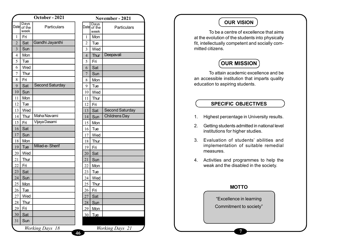|                 |                        | October - 2021            |                |
|-----------------|------------------------|---------------------------|----------------|
| Date            | Days<br>of the<br>week | Particulars               | Date           |
| 1               | Fri                    |                           | 1              |
| $\overline{2}$  | Sat                    | Gandhi Jayanthi           | $\overline{2}$ |
| $\overline{3}$  | Sun                    |                           | 3              |
| $\overline{4}$  | Mon                    |                           | $\overline{4}$ |
| 5               | Tue                    |                           | 5              |
| 6               | Wed                    |                           | 6              |
| 7               | Thur                   |                           | $\overline{7}$ |
| 8               | Fri                    |                           | 8              |
| 9               | Sat                    | <b>Second Saturday</b>    | 9              |
| 10              | Sun                    |                           | 10             |
| 11              | Mon                    |                           | 11             |
| 12              | Tue                    |                           | 12             |
| 13              | Wed                    |                           | 13             |
| 14              | Thur                   | Maha Navami               | 14             |
| 15              | Fri                    | Vijaya Dasami             | 15             |
| 16              | Sat                    |                           | 16             |
| 17              | Sun                    |                           | 17             |
| 18              | Mon                    |                           | 18             |
| 19              | Tue                    | Milad-e-Sherif            | 19             |
| 20              | Wed                    |                           | 20             |
| 21              | Thur                   |                           | 21             |
| 22              | Fri                    |                           | 22             |
| 23              | <b>Sat</b>             |                           | 23             |
| 24              | Sun                    |                           | 24             |
| 25              | Mon                    |                           | 25             |
| 26              | <b>Tue</b>             |                           | 26             |
| $\overline{27}$ | Wed                    |                           | 27             |
| $\frac{28}{2}$  | <b>Thur</b>            |                           | 28             |
| 29              | <u>Fri</u>             |                           | 29             |
| $\overline{30}$ | <u>Sat</u>             |                           | $\frac{30}{5}$ |
| 31              | Sun                    |                           |                |
|                 |                        | <b>Working Days</b><br>18 | 46             |

| Days<br>Datel<br>of the<br>Particulars |
|----------------------------------------|
| week                                   |
| Mon<br>1                               |
| $\overline{2}$<br>Tue                  |
| 3<br>Wed                               |
| Deepavali<br>$\overline{4}$<br>Thur    |
| 5<br>Fri                               |
| 6<br>Sat                               |
| $\overline{7}$<br>Sun                  |
| 8<br>Mon                               |
| 9<br>Tue                               |
| 10<br>Wed                              |
| 11<br>Thur                             |
| 12<br>Fri                              |
| <b>Second Saturday</b><br>13<br>Sat    |
| <b>Childrens Day</b><br>14<br>Sun      |
| 15<br>Mon                              |
| Tue<br>16                              |
| 17<br>Wed                              |
| 18<br>Thur                             |
| 19<br>Fri                              |
| 20<br>Sat                              |
| 21<br>Sun                              |
| 22<br>Mon                              |
| 23<br>Tue                              |
| 24<br>Wed                              |
| $\frac{25}{2}$<br>Thur                 |
| 26<br>Fri                              |
| $\overline{27}$<br>Sat                 |
| 28<br><u>Sun</u>                       |
| 29<br><b>Mon</b>                       |
| 30<br><b>Tue</b>                       |
|                                        |

## **OUR VISION**

To be a centre of excellence that aims at the evolution of the students into physically fit, intellectually competent and socially committed citizens.

# **OUR MISSION**

To attain academic excellence and be an accessible institution that imparts quality education to aspiring students.

### **SPECIFIC OBJECTIVES**

- 1. Highest percentage in University results.
- 2. Getting students admitted in national level institutions for higher studies.
- 3. Evaluation of students' abilities and implementation of suitable remedial measures.
- 4. Activities and programmes to help the weak and the disabled in the society.

#### **MOTT O**

"Excellence in learning Commitment to society"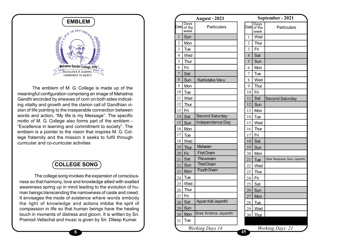

The emblem of M. G. College is made up of the meaningful configuration comprising an image of Mahatma Gandhi encircled by sheaves of corn on both sides indicating vitality and growth and the clarion call of Gandhian vision of life pointing to the inseparable connection between words and action, "My life is my Message". The specific motto of M. G. College also forms part of the emblem - "Excellence in learning and commitment to society". The emblem is a pointer to the vision that inspires M. G. College fraternity and the mission it seeks to fulfil through curricular and co-curricular activities

# **COLLEGE SONG**

The college song invokes the expansion of consciousness so that harmony, love and knowledge allied with exalted awareness spring up in mind leading to the evolution of human beings transcending the narrowness of caste and creed. It envisages the mode of existence where words embody the light of knowledge and actions imbibe the sprit of compassion in life so that human beings have the healing touch in moments of distress and gloom. It is written by Sri. Pramod Vellachal and music is given by Sri. Dileep Kumar.

| <b>BLEM</b>                                                      | <b>August - 2021</b>                      |
|------------------------------------------------------------------|-------------------------------------------|
|                                                                  | Days<br>Date of the<br><b>Particulars</b> |
| MY MESSE                                                         | week<br>$\mathbf{1}$<br>Sun               |
|                                                                  | $\overline{2}$<br>Mon                     |
|                                                                  | 3<br>Tue                                  |
|                                                                  | Wed<br>4                                  |
|                                                                  | 5<br>Thur                                 |
| ındhi College, Iritty                                            | Fri<br>6                                  |
| <b>CE IN LEARNING</b>                                            | 7<br>Sat                                  |
| <b>ENT TO SOCIETY</b>                                            | 8<br>Sun<br>Karkidaka Vavu                |
|                                                                  | 9<br>Mon                                  |
| 3. College is made up of the                                     | 10<br>Tue                                 |
| nprising an image of Mahatma                                     | Wed<br>11                                 |
| of corn on both sides indicat-<br>e clarion call of Gandhian vi- | 12<br>Thur                                |
| eparable connection between                                      | 13<br>Fri                                 |
| s my Message". The specific                                      | Second Saturday<br>14<br>Sat              |
| forms part of the emblem -                                       | Independence Day<br>15<br>Sun             |
| commitment to society". The                                      | 16<br>Mon                                 |
| ision that inspires M. G. Col-                                   | 17<br>Tue                                 |
| ion it seeks to fulfil through                                   | 18<br>Wed                                 |
| activities                                                       | Muharam<br>19<br>Thur                     |
|                                                                  | <b>First Onam</b><br>20<br>Fri            |
|                                                                  | Thiruvonam<br>Sat<br>21                   |
| <b>GE SONG</b>                                                   | Third Onam<br>Sun<br>22                   |
|                                                                  | <b>Fourth Onam</b><br>Mon<br>23           |
| okes the expansion of conscious-                                 | Tue<br>24                                 |
| and knowledge allied with exalted                                | Wed<br>25                                 |
| d leading to the evolution of hu-                                | Thur<br>26                                |
| e narrowness of caste and creed.                                 | Fri<br>27                                 |
| xistence where words embody<br>and actions imbibe the sprit of   | Ayyan Kali Jayanthi<br>28<br>Sat          |
| human beings have the healing                                    | Sun<br>29                                 |
| ss and gloom. It is written by Sri.                              | Sree Krishna Jayanthi<br>Mon<br>30        |
| c is given by Sri. Dileep Kumar.                                 | Tue<br>31                                 |
|                                                                  |                                           |
| 8                                                                | Working Days 14<br>45                     |

| Datel           | September - 2021       |                             |  |  |  |  |  |
|-----------------|------------------------|-----------------------------|--|--|--|--|--|
|                 | Days<br>of the<br>week | Particulars                 |  |  |  |  |  |
| 1               | Wed                    |                             |  |  |  |  |  |
| $\overline{c}$  | Thur                   |                             |  |  |  |  |  |
| $\overline{3}$  | Fri                    |                             |  |  |  |  |  |
| $\overline{4}$  | Sat                    |                             |  |  |  |  |  |
| 5               | Sun                    |                             |  |  |  |  |  |
| 6               | Mon                    |                             |  |  |  |  |  |
| 7               | Tue                    |                             |  |  |  |  |  |
| 8               | Wed                    |                             |  |  |  |  |  |
| 9               | Thur                   |                             |  |  |  |  |  |
| 10              | Fri                    |                             |  |  |  |  |  |
| 11              | Sat                    | <b>Second Saturday</b>      |  |  |  |  |  |
| 12              | Sun                    |                             |  |  |  |  |  |
| 13              | Mon                    |                             |  |  |  |  |  |
| 14              | Tue                    |                             |  |  |  |  |  |
| 15              | Wed                    |                             |  |  |  |  |  |
| 16              | Thur                   |                             |  |  |  |  |  |
| 17              | Fri                    |                             |  |  |  |  |  |
| 18              | Sat                    |                             |  |  |  |  |  |
| 19              | Sun                    |                             |  |  |  |  |  |
| 20              | Mon                    |                             |  |  |  |  |  |
| 21              | Tue                    | Sree Narayana Guru Jayanthi |  |  |  |  |  |
| 22              | Wed                    |                             |  |  |  |  |  |
| 23              | Thur                   |                             |  |  |  |  |  |
| 24              | Fri                    |                             |  |  |  |  |  |
| 25              | Sat                    |                             |  |  |  |  |  |
| 26              | Sun                    |                             |  |  |  |  |  |
| $\overline{27}$ | Mon                    |                             |  |  |  |  |  |
| 28              | <b>Tue</b>             |                             |  |  |  |  |  |
| <u>29</u>       | Wed                    |                             |  |  |  |  |  |
| 30              | <b>Thur</b>            |                             |  |  |  |  |  |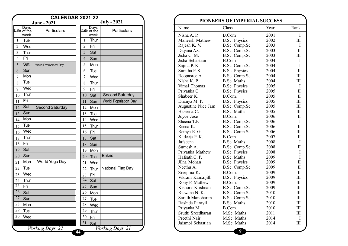|                 |                     | <b>CALENDAR 2021-22</b> |    |                |                     |                      |                             |                        |
|-----------------|---------------------|-------------------------|----|----------------|---------------------|----------------------|-----------------------------|------------------------|
|                 |                     | <b>June - 2021</b>      |    |                |                     | <b>July - 2021</b>   |                             | <b>PIONEERS OF IMI</b> |
|                 | Days<br>Date of the | Particulars             |    |                | Days<br>Date of the | Particulars          | Name                        | Class                  |
|                 | week                |                         |    |                | week                |                      | Nisha A. P.                 | <b>B.Com</b>           |
| $\mathbf{1}$    | Tue                 |                         |    | 1              | Thur                |                      | Maneesh Mathew              | B.Sc. Phy              |
| $\overline{2}$  | Wed                 |                         |    | $\overline{2}$ | Fri                 |                      | Rajesh K. V.                | B.Sc. Con              |
| $\overline{3}$  | Thur                |                         |    | 3              | Sat                 |                      | Dayana A.C.                 | B.Sc. Con              |
| $\overline{4}$  | Fri                 |                         |    | $\overline{4}$ | Sun                 |                      | Jisha C. M.                 | B.Sc. Con              |
| 5               | Sat                 |                         |    | 5              | Mon                 |                      | Jisha Sebastian             | <b>B.Com</b>           |
|                 |                     | World Environment Day   |    |                |                     |                      | Sajina P. K.                | B.Sc. Con              |
| 6               | Sun                 |                         |    | 6              | Tue                 |                      | Sunitha P. S.               | B.Sc. Phy              |
| 7               | Mon                 |                         |    | 7              | Wed                 |                      | Roopasree A.<br>Nisha K. P. | B.Sc. Con              |
| 8               | Tue                 |                         |    | 8              | Thur                |                      | Vimal Thomas                | B.Sc. Mat<br>B.Sc. Phy |
| 9               | Wed                 |                         |    | 9              | Fri                 |                      | Priyanka C.                 | B.Sc. Phy              |
| $10\,$          | Thur                |                         |    | 10             | Sat                 | Second Saturday      | Shabeer K.                  | B.Com.                 |
| 11              | Fri                 |                         |    | 11             | Sun                 | World Population Day | Dhanya M. P.                | B.Sc. Phy              |
| 12              | Sat                 | Second Saturday         |    | 12             | Mon                 |                      | Augustine Nice Jam          | B.Sc. Con              |
|                 | Sun                 |                         |    |                |                     |                      | Haseena C.                  | B.Sc. Mat              |
| 13              |                     |                         |    | 13             | Tue                 |                      | Joyce Jose                  | B.Com.                 |
| 14              | Mon                 |                         |    | 14             | Wed                 |                      | Sheena T.P.                 | B.Sc. Con              |
| 15              | Tue                 |                         |    | 15             | Thur                |                      | Reena K.                    | B.Sc. Con              |
| 16              | Wed                 |                         |    | 16             | Fri                 |                      | Remya E. G.                 | B.Sc. Con              |
| 17              | Thur                |                         |    | 17             | Sat                 |                      | Kadeeja P. K.               | B.Com.                 |
| 18              | Fri                 |                         |    | 18             | Sun                 |                      | Jafseena                    | B.Sc. Mat              |
| 19              | Sat                 |                         |    | 19             | Mon                 |                      | Sumesh A.                   | B.Sc. Con              |
| 20              | Sun                 |                         |    |                |                     | <b>Bakrid</b>        | Priyanka Mathew             | B.Sc. Phy              |
|                 | Mon                 | World Yoga Day          |    | 20             | Tue                 |                      | Hafsath C. P.               | B.Sc. Mat              |
| 21              |                     |                         |    | 21             | Wed                 |                      | Jilna Mohan<br>Neethu A.    | B.Sc. Phy<br>B.Sc. Con |
| 22              | Tue                 |                         |    | 22             | Thur                | National Flag Day    | Sreejima K.                 | B.Com.                 |
| 23              | Wed                 |                         |    | 23             | Fri                 |                      | Vikram Kamaljith            | B.Sc. Phy              |
| 24              | Thur                |                         |    | 24             | Sat                 |                      | Rony P. Mathew              | B.Com.                 |
| $\overline{25}$ | Fri                 |                         |    | 25             | Sun                 |                      | Kishore Krishnan            | B.Sc. Con              |
| $\overline{26}$ | Sat                 |                         |    | 26             | Mon                 |                      | Riswana N. K.               | B.Sc. Con              |
| 27              | Sun                 |                         |    | 27             | Tue                 |                      | Sarath Manoharan            | B.Sc. Con              |
| 28              | Mon                 |                         |    | 28             | Wed                 |                      | Rashida Parayil             | B.Sc. Mat              |
| 29              |                     |                         |    | 29             |                     |                      | Priyanka M.                 | B.Com.                 |
|                 | Tue                 |                         |    |                | Thur                |                      | Sruthi Sreedharan           | M.Sc. Ma               |
| 30              | Wed                 |                         |    | 30             | Fri                 |                      | Preethi Nair                | M.Sc. Ma               |
|                 |                     |                         |    | 31             | Sat                 |                      | Jaismol Sebastian           | M.Sc. Ma               |
|                 |                     | <b>Working Days</b> 22  | 44 |                |                     | Working Days 21      |                             | 9                      |

|                    | PIONEERS OF IMPERIAL SUCCESS |      |                         |
|--------------------|------------------------------|------|-------------------------|
| Name               | Class                        | Year | Rank                    |
| Nisha A. P.        | <b>B.Com</b>                 | 2001 | I                       |
| Maneesh Mathew     | <b>B.Sc. Physics</b>         | 2002 | III                     |
| Rajesh K. V.       | B.Sc. Comp.Sc.               | 2003 | L                       |
| Dayana A.C.        | B.Sc. Comp.Sc.               | 2003 | $\overline{\mathbf{I}}$ |
| Jisha C. M.        | B.Sc. Comp.Sc.               | 2003 | III                     |
| Jisha Sebastian    | <b>B.Com</b>                 | 2004 | I                       |
| Sajina P. K.       | B.Sc. Comp.Sc.               | 2004 | $\overline{I}$          |
| Sunitha P. S.      | <b>B.Sc. Physics</b>         | 2004 | $\mathbf{I}$            |
| Roopasree A.       | B.Sc. Comp.Sc.               | 2004 | III                     |
| Nisha K. P.        | <b>B.Sc. Maths</b>           | 2004 | Ш                       |
| Vimal Thomas       | <b>B.Sc. Physics</b>         | 2005 | I                       |
| Priyanka C.        | <b>B.Sc. Physics</b>         | 2005 | $\mathbf I$             |
| Shabeer K.         | B.Com.                       | 2005 | $\mathbf I$             |
| Dhanya M. P.       | <b>B.Sc. Physics</b>         | 2005 | III                     |
| Augustine Nice Jam | B.Sc. Comp.Sc.               | 2005 | III                     |
| Haseena C.         | <b>B.Sc. Maths</b>           | 2005 | III                     |
| Joyce Jose         | B.Com.                       | 2006 | П                       |
| Sheena T.P.        | B.Sc. Comp.Sc.               | 2006 | I                       |
| Reena K.           | B.Sc. Comp.Sc.               | 2006 | $\overline{\mathbf{I}}$ |
| Remya E. G.        | B.Sc. Comp.Sc.               | 2006 | III                     |
| Kadeeja P. K.      | B.Com.                       | 2007 | П                       |
| Jafseena           | <b>B.Sc. Maths</b>           | 2008 | I                       |
| Sumesh A.          | B.Sc. Comp.Sc.               | 2008 | $\mathbf I$             |
| Priyanka Mathew    | <b>B.Sc. Physics</b>         | 2008 | I                       |
| Hafsath C. P.      | <b>B.Sc. Maths</b>           | 2009 | $\mathbf I$             |
| Jilna Mohan        | <b>B.Sc. Physics</b>         | 2009 | $\mathbf{I}$            |
| Neethu A.          | B.Sc. Comp.Sc.               | 2009 | $\overline{\mathbf{I}}$ |
| Sreejima K.        | B.Com.                       | 2009 | $\rm II$                |
| Vikram Kamaljith   | <b>B.Sc. Physics</b>         | 2009 | III                     |
| Rony P. Mathew     | B.Com.                       | 2009 | III                     |
| Kishore Krishnan   | B.Sc. Comp.Sc.               | 2009 | III                     |
| Riswana N. K.      | B.Sc. Comp.Sc.               | 2010 | III                     |
| Sarath Manoharan   | B.Sc. Comp.Sc.               | 2010 | III                     |
| Rashida Parayil    | <b>B.Sc. Maths</b>           | 2010 | III                     |
| Priyanka M.        | B.Com.                       | 2010 | III                     |
| Sruthi Sreedharan  | M.Sc. Maths                  | 2011 | III                     |
| Preethi Nair       | M.Sc. Maths                  | 2014 | I                       |
| Jaismol Sebastian  | M.Sc. Maths                  | 2014 | III                     |
|                    |                              |      |                         |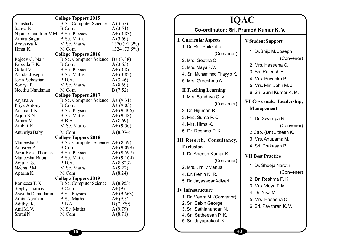|                                   | <b>College Toppers 2015</b>   |              |
|-----------------------------------|-------------------------------|--------------|
| Shinsha E.                        | <b>B.Sc. Computer Science</b> | A(3.67)      |
| Sanva P.                          | B.Com.                        | A(3.51)      |
| Nipun Chandran V.M. B.Sc. Physics |                               | $A+ (3.83)$  |
| Athira Sagar                      | <b>B.Sc. Maths</b>            | A(3.69)      |
| Aiswarya K.                       | M.Sc. Maths                   | 1370 (91.3%) |
| Hima K.                           | M.Com                         | 1324 (73.5%) |
|                                   | <b>College Toppers 2016</b>   |              |
| Rajeev C. Nair                    | <b>B.Sc. Computer Science</b> | $B+ (3.38)$  |
| Fareeda E.K.                      | B.Com.                        | A(3.63)      |
| Gokul V.I.                        | <b>B.Sc. Physics</b>          | $A+ (3.8)$   |
| Alinda Joseph                     | <b>B.Sc. Maths</b>            | $A+ (3.82)$  |
| Jerin Sebastian                   | B.B.A.                        | A(3.46)      |
| Soorya P.                         | M.Sc. Maths                   | A(8.69)      |
| Neethu Nandanan                   | M.Com                         | B(7.52)      |
|                                   | <b>College Toppers 2017</b>   |              |
| Anjana A.                         | <b>B.Sc. Computer Science</b> | $A+ (9.31)$  |
| Priya Antony                      | B.Com.                        | $A+ (9.03)$  |
| Anjana T.K.                       | <b>B.Sc. Physics</b>          | $A+ (9.406)$ |
| Arjun S.N.                        | B.Sc. Maths                   | $A+ (9.48)$  |
| Athira M.                         | B.B.A.                        | A(8.69)      |
| Ambili K.                         | M.Sc. Maths                   | $A+ (9.50)$  |
| Anupriya Baby                     | M.Com                         | A(8.074)     |
|                                   | <b>College Toppers 2018</b>   |              |
| Maneesha J.                       | <b>B.Sc. Computer Science</b> | $A+ (8.39)$  |
| Anusree P.                        | B.Com.                        | $A+ (9.098)$ |
| Arya Rose Thomas                  | <b>B.Sc. Physics</b>          | $A+ (9.597)$ |
| Maneesha Babu                     | <b>B.Sc. Maths</b>            | $A+ (9.164)$ |
| Anju E. S.                        | B.B.A.                        | A(8.823)     |
| Neena P.M.                        | M.Sc. Maths                   | A(9.22)      |
| Aparna K.                         | M.Com                         | A(8.24)      |
|                                   | <b>College Toppers 2019</b>   |              |
| Rameesa T. K.                     | <b>B.Sc. Computer Science</b> | A(8.953)     |
| <b>Stephy Thomas</b>              | B.Com.                        | $A+ (9)$     |
| Aswathi Damodaran                 | <b>B.Sc. Physics</b>          | $A+ (9.663)$ |
| Athira Abraham                    | <b>B.Sc. Maths</b>            | $A+(9.3)$    |
| Adithya K.                        | B.B.A.                        | B(7.979)     |
| Anil M.V.                         | M.Sc. Maths                   | A(9.79)      |
| Sruthi N.                         | M.Com                         | A(8.71)      |
|                                   |                               |              |
|                                   |                               |              |

| <b>IQAC</b>                                                                                                                                                                                                                                                                                                                                                                                                                                                                                                                                                                                                                                                                |                                                                                                                                                                                                                                                                                                                                                                                                                                                                                                                                     |  |  |  |  |  |
|----------------------------------------------------------------------------------------------------------------------------------------------------------------------------------------------------------------------------------------------------------------------------------------------------------------------------------------------------------------------------------------------------------------------------------------------------------------------------------------------------------------------------------------------------------------------------------------------------------------------------------------------------------------------------|-------------------------------------------------------------------------------------------------------------------------------------------------------------------------------------------------------------------------------------------------------------------------------------------------------------------------------------------------------------------------------------------------------------------------------------------------------------------------------------------------------------------------------------|--|--|--|--|--|
| Co-ordinator: Sri. Pramod Kumar K.V.                                                                                                                                                                                                                                                                                                                                                                                                                                                                                                                                                                                                                                       |                                                                                                                                                                                                                                                                                                                                                                                                                                                                                                                                     |  |  |  |  |  |
| <b>I. Curricular Aspects</b><br>1. Dr. Reji Paikkattu<br>(Convener)<br>2. Mrs. Geetha C<br>3. Mrs. Maya P.V.<br>4. Sri. Muhammed Thayyib K.<br>5. Mrs. Greeshma A.<br><b>II Teaching Learning</b><br>1. Mrs. Sandhya C. V.<br>(Convener)<br>2. Dr. Bijumon R.<br>3. Mrs. Suma P. C.<br>4. Mrs. Hima K.<br>5. Dr. Reshma P. K.<br><b>III Reserch, Consultancy,</b><br><b>Exclusion</b><br>1. Dr. Aneesh Kumar K.<br>(Convener)<br>2. Mrs. Jimily Manual<br>4. Dr. Rehin K. R.<br>5. Dr. Jayasagar Adiyeri<br><b>IV Infrastructure</b><br>1. Dr. Meera M. (Convenor)<br>2. Sri. Sebin George<br>3. Sri. Sathianandan N.<br>4. Sri. Satheesan P. K.<br>5. Sri. Jayaprakash K. | <b>V Student Support</b><br>1. Dr.Shijo M. Joseph<br>(Convenor)<br>2. Mrs. Haseena C.<br>3. Sri. Rajeesh E.<br>4. Mrs. Priyanka P.<br>5. Mrs. Mini John M. J.<br>6. Sri. Sunil Kumar K. M.<br>VI Governale, Leadership,<br>Management<br>1. Dr. Swarupa R.<br>(Convener)<br>2.Cap. (Dr.) Jithesh K.<br>3. Mrs. Anupama M.<br>4. Sri. Prakasan P.<br><b>VII Best Practice</b><br>1. Dr. Sheeja Naroth<br>(Convener)<br>2. Dr. Reshma P. K.<br>3. Mrs. Vidya T. M.<br>4. Dr. Nisa M.<br>5. Mrs. Haseena C.<br>6. Sri. Pavithran K. V. |  |  |  |  |  |
|                                                                                                                                                                                                                                                                                                                                                                                                                                                                                                                                                                                                                                                                            |                                                                                                                                                                                                                                                                                                                                                                                                                                                                                                                                     |  |  |  |  |  |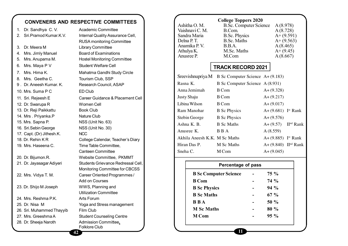# **CONVENERS AND RESPECTIVE COMMITTEES**

| 1. | Dr. Sandhya C. V.         | <b>Academic Committee</b>          |
|----|---------------------------|------------------------------------|
| 2. | Sri.Pramod Kumar.K.V.     | Internal Quality Assurance Cell,   |
|    |                           | RUSA monitoring Committee          |
| 3. | Dr. Meera M               | <b>Library Committee</b>           |
| 4. | Mrs. Jimly Manuel         | <b>Board of Examinations</b>       |
| 5. | Mrs. Anupama M.           | <b>Hostel Monitoring Committee</b> |
| 6. | Mrs. Maya P V             | Student Welfare Cell               |
| 7. | Mrs. Hima K.              | Mahatma Gandhi Study Circle        |
| 8. | Mrs. Geetha C.            | Tourism Club, SSP                  |
|    | 9. Dr. Aneesh Kumar. K.   | Research Council, ASAP             |
|    | 10. Mrs. Suma P C         | ED Club                            |
|    | 11. Sri. Rejeesh E        | Career Guidance & Placement Cell   |
|    | 12. Dr. Swarupa R         | Women Cell                         |
|    | 13. Dr. Reji Paikkattu    | <b>Book Club</b>                   |
|    | 14. Mrs. Priyanka.P       | <b>Nature Club</b>                 |
|    | 15. Mrs. Sapna P.         | NSS (Unit No. 63)                  |
|    | 16. Sri.Sebin George      | NSS (Unit No. 30)                  |
|    | 17. Capt. (Dr) Jithesh.K. | <b>NCC</b>                         |
|    | 18. Dr. Rehin KR          | College Calendar, Teacher's Diary  |
|    | 19. Mrs. Haseena C.       | Time Table Committee,              |
|    |                           | <b>Canteen Committee</b>           |
|    | 20. Dr. Bijumon.R.        | Website Committee, PKMMT           |
|    | 21. Dr. Jayasagar Adiyeri | Students Grievance Redressal Cell, |
|    |                           | Monitoring Committee for CBCSS     |
|    | 22. Mrs. Vidya T. M.      | Career Oriented Programmes /       |
|    |                           | Add on Courses                     |
|    | 23. Dr. Shijo M Joseph    | WWS, Planning and                  |
|    |                           | <b>Utilization Committee</b>       |
|    | 24. Mrs. Reshma P.K.      | Arts Forum                         |
|    | 25. Dr. Nisa M            | Yoga and Stress management         |
|    | 26. Sri. Muhammed Thayyib | Film Club                          |
|    | 27. Mrs. Greeshma A       | <b>Student Counseling Centre</b>   |
|    | 28. Dr. Sheeja Naroth     | Admission Committee,               |
|    |                           | <b>Folklore Club</b>               |
|    | 42                        |                                    |

|                 | <b>College Toppers 2020</b>   |              |
|-----------------|-------------------------------|--------------|
| Ashitha O.M.    | <b>B.Sc. Computer Science</b> | A(8.978)     |
| Vaishnavi C. M. | B.Com.                        | A(8.728)     |
| Sandra Maria    | <b>B.Sc. Physics</b>          | $A+ (9.591)$ |
| Delna P. T.     | <b>B.Sc. Maths</b>            | $A+ (9.563)$ |
| Anamika P.V.    | B.B.A.                        | A(8.465)     |
| Athulya K.      | M.Sc. Maths                   | $A+ (9.45)$  |
| Anusree P.      | M.Com                         | A(8.667)     |
|                 |                               |              |

# **TRACK RECORD 2021**

|                               | Sreevish nupriya M B Sc Computer Science $A + (9.183)$ |                                     |  |
|-------------------------------|--------------------------------------------------------|-------------------------------------|--|
| Rasna K.                      | B Sc Computer Science A (8.931)                        |                                     |  |
| Anna Jemimah                  | <b>B</b> Com                                           | $A+(9.328)$                         |  |
| Justy Shaju                   | B Com                                                  | $A + (9.217)$                       |  |
| Libina Wilson                 | B Com                                                  | $A+(9.017)$                         |  |
| Ram Manohar                   | <b>B</b> Sc Physics                                    | $A + (9.681)$ Ist Rank              |  |
| Stebin George                 | <b>B</b> Sc Physics                                    | $A+ (9.576)$                        |  |
| Ashna K. B.                   | <b>B</b> Sc Maths                                      | $A + (9.57)$ II <sup>nd</sup> Rank  |  |
| Anusree K.                    | B B A                                                  | A(8.559)                            |  |
| Akhila Aneesh K.K. M Sc Maths |                                                        | $A + (9.885)$ Ist Rank              |  |
| Hiran Das P.                  | M Sc Maths                                             | $A + (9.840)$ II <sup>nd</sup> Rank |  |
| Sneha C.                      | M Com                                                  | $A+(9.045)$                         |  |

| Percentage of pass           |  |         |  |  |  |  |
|------------------------------|--|---------|--|--|--|--|
| <b>B Sc Computer Science</b> |  | 75 %    |  |  |  |  |
| <b>B</b> Com                 |  | $74\%$  |  |  |  |  |
| <b>B</b> Sc Physics          |  | $94\%$  |  |  |  |  |
| <b>B</b> Sc Maths            |  | $67 \%$ |  |  |  |  |
| <b>BBA</b>                   |  | $50\%$  |  |  |  |  |
| <b>M Sc Maths</b>            |  | 80 %    |  |  |  |  |
| <b>M</b> Com                 |  | $95 \%$ |  |  |  |  |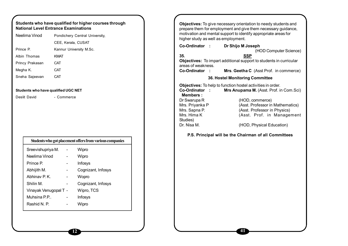| Neelima Vinod                       |                    | Pondichery Central University,                           | higher study as well as employment.                                        | prepare them for employment and give them necessary guidance,<br>motivation and mental support to identify appropriate areas for |
|-------------------------------------|--------------------|----------------------------------------------------------|----------------------------------------------------------------------------|----------------------------------------------------------------------------------------------------------------------------------|
|                                     | CEE, Kerala, CUSAT |                                                          | Co-Ordinator :                                                             |                                                                                                                                  |
| Prince P.                           |                    | Kannur University M.Sc.                                  |                                                                            | Dr Shijo M Joseph<br>(HOD Computer Science)                                                                                      |
| Albin Thomas                        | <b>KMAT</b>        |                                                          | 35.                                                                        | <b>SSP</b>                                                                                                                       |
| Princy Prakasan                     | <b>CAT</b>         |                                                          | areas of weakness.                                                         | Objectives: To impart additional support to students in curricular                                                               |
| Megha K.                            | CAT                |                                                          | Co-Ordinator :                                                             | Mrs. Geetha C (Asst Prof. in commerce)                                                                                           |
| Sneha Sajeevan                      | CAT                |                                                          |                                                                            | 36. Hostel Monitoring Committee                                                                                                  |
| Students who have qualified UGC NET |                    |                                                          | Co-Ordinator:<br><b>Members:</b>                                           | Objectives: To help to function hostel activities in order.<br>Mrs Anupama M. (Asst. Prof. in Com. Sci)                          |
| Deslit David                        | - Commerce         |                                                          | Dr Swarupa R                                                               | (HOD, commerce)                                                                                                                  |
|                                     |                    |                                                          | Mrs. Priyanka P<br>Mrs. Sapna P.<br>Mrs. Hima K<br>Studies)<br>Dr. Nisa M. | (Asst. Professor in Mathematics)<br>(Asst. Professor in Physics)<br>(Asst. Prof. in Management<br>(HOD, Physical Education)      |
|                                     |                    | Students who got placement offers from various companies |                                                                            | P.S. Principal will be the Chairman of all Committees                                                                            |
| Sreevishupriya M.                   |                    | Wipro                                                    |                                                                            |                                                                                                                                  |
| Neelima Vinod                       | $\sim$             | Wipro                                                    |                                                                            |                                                                                                                                  |
| Prince P.                           | $\blacksquare$     | Infosys                                                  |                                                                            |                                                                                                                                  |
| Abhijith M.                         | $\sim$             | Cognizant, Infosys                                       |                                                                            |                                                                                                                                  |
| Abhinav P.K.                        | $\blacksquare$     | Wopro                                                    |                                                                            |                                                                                                                                  |
| Shilin M.                           | $\blacksquare$     | Cognizant, Infosys                                       |                                                                            |                                                                                                                                  |
| Vinayak Venugopal T -               |                    | Wipro, TCS                                               |                                                                            |                                                                                                                                  |
| Muhsina P.P                         | $\blacksquare$     | Infosys                                                  |                                                                            |                                                                                                                                  |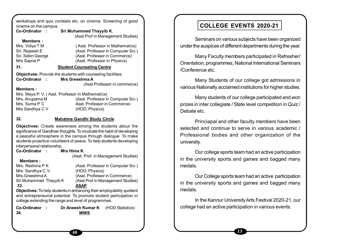workshops and quiz contests etc. on cinema. Screening of good cinema on the campus.

| Co-Ordinator :                              | Sri Muhammed Thayyib K.<br>(Asst Prof in Management Studies)                                                                                                                                                                                                                 |
|---------------------------------------------|------------------------------------------------------------------------------------------------------------------------------------------------------------------------------------------------------------------------------------------------------------------------------|
| <b>Members:</b>                             |                                                                                                                                                                                                                                                                              |
| Mrs. Vidya T M                              | (Asst. Professor in Mathematics)                                                                                                                                                                                                                                             |
| Sri. Rejeesh E                              | (Asst. Professor in Computer Sci.)                                                                                                                                                                                                                                           |
| Sri. Sebin George                           | (Asst. Professor in Commerce)                                                                                                                                                                                                                                                |
| Mrs Sapna P                                 | (Asst. Professor in Physics)                                                                                                                                                                                                                                                 |
| 31.                                         | <b>Student Counseling Centre</b>                                                                                                                                                                                                                                             |
|                                             | Objectives: Provide the students with counseling facilities.                                                                                                                                                                                                                 |
| Co-Ordinator                                | Mrs Greeshma A                                                                                                                                                                                                                                                               |
|                                             | (Asst Professor in commerce)                                                                                                                                                                                                                                                 |
| <b>Members :</b>                            |                                                                                                                                                                                                                                                                              |
|                                             | Mrs. Maya P. V. (Asst. Professor in Mathematics)                                                                                                                                                                                                                             |
| Mrs. Anupama M                              | (Asst. Professor in Computer Sci.)                                                                                                                                                                                                                                           |
| Mrs. Suma P C                               | Asst. Professor in Commerce)                                                                                                                                                                                                                                                 |
| Mrs Sandhya C V                             | (HOD, Physics)                                                                                                                                                                                                                                                               |
|                                             |                                                                                                                                                                                                                                                                              |
| 32.                                         | <b>Mahatma Gandhi Study Circle</b>                                                                                                                                                                                                                                           |
| interpersonal relationship.                 | Objectives: Create awareness among the students about the<br>significance of Gandhian thoughts. To inculcate the habit of developing<br>a peaceful atmosphere in the campus through dialogue. To make<br>students proactive volunteers of peace. To help students developing |
| Co-Ordinator                                | Mrs Hima K.                                                                                                                                                                                                                                                                  |
|                                             | (Asst. Prof. in Management Studies)                                                                                                                                                                                                                                          |
| <b>Members:</b>                             |                                                                                                                                                                                                                                                                              |
| Mrs. Reshma P K                             | (Asst. Professor in Computer Sci.)                                                                                                                                                                                                                                           |
| Mrs. Sandhya C.V.                           | (HOD, Physics)                                                                                                                                                                                                                                                               |
| Mrs.Greeshma A                              | (Asst. Professor in Commerce)                                                                                                                                                                                                                                                |
| Sri Muhammed Thayyib K                      | (Asst Prof in Management Studies)                                                                                                                                                                                                                                            |
| 33.                                         | <b>ASAP</b>                                                                                                                                                                                                                                                                  |
|                                             | Objectives: To help students in enhancing their employability quotient<br>and entrepreneurial potential. To promote student participation in<br>college extending the range and level of programmes.                                                                         |
| <b>Co-Ordinator</b><br>$\sim$ $\sim$<br>34. | Dr Aneesh Kumar K<br>(HOD Statistics)<br><b>WWS</b>                                                                                                                                                                                                                          |
|                                             |                                                                                                                                                                                                                                                                              |

**40**

# **COLLEGE EVENTS 2020-21**

Seminars on various subjects have been organized under the auspices of different departments during the year.

Many Faculty members participated in Refresher/ Orientation, programmes, National International Seminars /Conference etc.

Many Students of our college got admissions in various Nationally acclaimed institutions for higher studies.

Many students of our college participated and won prizes in inter collegiate / State level competition in Quiz / Debate etc.

Princiapal and other faculty members have been selected and continue to serve in various academic / Professional bodies and other organization of the university.

Our college sports team had an active participation in the university sports and games and bagged many medals.

Our College sports team had an active participation in the university sports and games and bagged many medals.

In the Kannur University Arts Festival 2020-21, our college had an active participation in various events.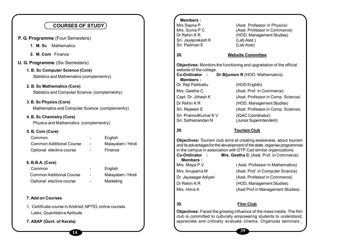| <b>COURSES OF STUDY</b>                                |                   | <b>Members:</b><br>Mrs Sapna P<br>Mrs. Suma P C | (Asst. Professor in Physics)<br>(Asst. Professor in Commerce)                                                                                 |
|--------------------------------------------------------|-------------------|-------------------------------------------------|-----------------------------------------------------------------------------------------------------------------------------------------------|
| P. G. Programme (Four Semesters)                       |                   | Dr Rehin KR                                     | (HOD, Management Studies)                                                                                                                     |
| 1. M. Sc Mathematics                                   |                   | Sri. Jayaprakash K<br>Sri. Padman E             | (Lab Asst.)<br>(Lab Asst)                                                                                                                     |
|                                                        |                   |                                                 |                                                                                                                                               |
| 2. M. Com Finance                                      |                   | 28.                                             | <b>Website Committee</b>                                                                                                                      |
| <b>U. G. Programme</b> (Six Semesters)                 |                   |                                                 | Objectives: Monitors the functioning and upgradation of the official                                                                          |
| 1. B. Sc Computer Science (Core)                       |                   | website of the college.                         |                                                                                                                                               |
| Statistics and Mathematics (complementry)              |                   | Co-Ordinator :<br><b>Members:</b>               | Dr Bijumon R (HOD, Mathematics)                                                                                                               |
| 2. B. Sc Mathematics (Core)                            |                   | Dr. Reji Paikkattu                              | (HOD English)                                                                                                                                 |
| Statistics and Computer Science (complementry)         |                   | Mrs. Geetha C.                                  | (Asst. Prof. in Commerce)                                                                                                                     |
|                                                        |                   | Capt. Dr. Jithesh K                             | (Asst. Professor in Comp. Science)                                                                                                            |
| 3. B. Sc Physics (Core)                                |                   | Dr Rehin KR                                     | (HOD, Management Studies)                                                                                                                     |
| Mathematics and Computer Science (complementry)        |                   | Sri. Rejeesh E                                  | (Asst. Professor in Comp. Science)                                                                                                            |
| 4. B. Sc Chemistry (Core)                              |                   | Sri. PramodKumar K V                            | (IQAC Coordinator)                                                                                                                            |
| Physics and Mathematics (complementry)                 |                   | Sri. Sathianandan N                             | (Junior Superintendent)                                                                                                                       |
| 5. B. Com (Core)                                       |                   | 29.                                             | <b>Tourism Club</b>                                                                                                                           |
| Common                                                 | English           |                                                 |                                                                                                                                               |
| <b>Common Additional Course</b>                        | Malayalam / Hindi |                                                 | Objectives: Tourism club aims at creating awareness about tourism<br>and its advantages for the development of the state .organise programmes |
| Optional elective course                               | Finance           |                                                 | in the campus in association with DTP Cad similar organizations.                                                                              |
|                                                        |                   | Co-Ordinator :<br><b>Members:</b>               | Mrs. Geetha C. (Asst. Prof. in Commerce)                                                                                                      |
| 6. B.B.A. (Core)                                       |                   | Mrs. Maya P V                                   | (Asst. Professor in Mathematics)                                                                                                              |
| Common                                                 | English           | Mrs. Anupama M                                  | (Asst. Prof. in Computer Science)                                                                                                             |
| <b>Common Additional Course</b>                        | Malayalam / Hindi | Dr. Jayasagar Adiyeri                           | (Asst. Professor in Commerce)                                                                                                                 |
| Optional elective course                               | Marketing         | Dr Rehin KR                                     | (HOD, Management Studies)                                                                                                                     |
|                                                        |                   | Mrs. Hima K                                     | (Asst Prof in Management Studies)                                                                                                             |
| 7. Add on Courses                                      |                   |                                                 |                                                                                                                                               |
| 1. Certificate course in Android; NPTEL online courses |                   | 30.                                             | <b>Film Club</b>                                                                                                                              |
| Latex, Quantitative Aptitude                           |                   |                                                 | Objectives: Faced the growing influence of the mass media. The film                                                                           |
| 7. ASAP (Govt. of Kerala)                              |                   |                                                 | club is committed to culturally empowering students to understand,<br>appreciate and critically evaluate cinema. Organizes seminars,          |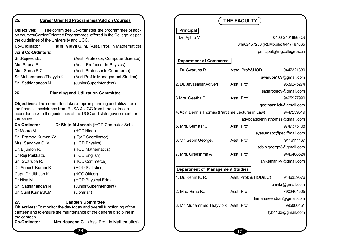| 25.                                                      | <b>Career Oriented Programmes/Add on Courses</b>                                                                           |                                                   | THE FACULTY                         |                                |
|----------------------------------------------------------|----------------------------------------------------------------------------------------------------------------------------|---------------------------------------------------|-------------------------------------|--------------------------------|
| Objectives:<br>the guidelines of the University and UGC. | The committee Co-ordinates the programmes of add-<br>on courses/Carrier Oriented Programmes offered in the College, as per | <b>Principal</b><br>Dr. Ajitha V.                 |                                     | 0490-2491666(O)                |
| <b>Co-Ordinator</b>                                      | Mrs. Vidya C. M. (Asst. Prof. in Mathematics)                                                                              |                                                   | 04902457280 (R), Mobile: 9447487065 |                                |
| <b>Joint Co-Ordintors:</b>                               |                                                                                                                            |                                                   |                                     | principal@mgcollege.ac.in      |
| Sri.Rejeesh.E.                                           | (Asst. Professor, Computer Science)                                                                                        | <b>Department of Commerce</b>                     |                                     |                                |
| Mrs Sapna P                                              | (Asst. Professor in Physics)                                                                                               |                                                   |                                     |                                |
| Mrs. Suma P C                                            | (Asst. Professor in Commerce)                                                                                              | 1. Dr. Swarupa R                                  | Asso. Prof:&HOD                     | 9447321830                     |
| Sri Muhammede Thayyib K                                  | (Asst Prof in Management Studies)                                                                                          |                                                   |                                     | swarupa189@gmail.com           |
| Sri. Sathianandan N                                      | (Junior Superintendent)                                                                                                    | 2. Dr. Jayasagar Adiyeri                          | Asst. Prof:                         | 9539245274                     |
| 26.                                                      | <b>Planning and Utilization Committee</b>                                                                                  |                                                   |                                     | sagarpondy@gmail.com           |
|                                                          |                                                                                                                            | 3.Mrs. Geetha C.                                  | Asst. Prof:                         | 9495927990                     |
|                                                          | Objectives: The committee takes steps in planning and utilization of                                                       |                                                   |                                     | geethaanilclt@gmail.com        |
|                                                          | the financial assistance from RUSA & UGC from time to time in                                                              | 4. Adv. Dennis Thomas (Part time Lecturer in Law) |                                     | 9447239519                     |
| the same.                                                | accordance with the guidelines of the UGC and state government for                                                         |                                                   |                                     | advocatedennisthomas@gmail.com |
| Co-Ordinator :                                           | Dr Shijo M Joseph (HOD Computer Sci.)                                                                                      | 5. Mrs. Suma P.C.                                 | Asst. Prof:                         |                                |
| Dr Meera M                                               | (HOD Hindi)                                                                                                                |                                                   |                                     | 9747375108                     |
| Sri. Pramod Kumar KV                                     | (IQAC Coordinator)                                                                                                         |                                                   |                                     | jayasumapc@rediffmail.com      |
| Mrs. Sandhya C. V.                                       | (HOD Physics)                                                                                                              | 6. Mr. Sebin George.                              | Asst. Prof:                         | 9446111167                     |
| Dr. Bijumon R.                                           | (HOD, Mathematics)                                                                                                         |                                                   |                                     | sebin.george3@gmail.com        |
| Dr Reji Paikkattu                                        | (HOD English)                                                                                                              | 7. Mrs. Greeshma A                                | Asst. Prof:                         | 9446408524                     |
| Sri Swarupa R.                                           | (HOD Commerce)                                                                                                             |                                                   |                                     | anikethanikv@gmail.com         |
| Dr. Aneesh Kumar.K.                                      | (HOD Statistics)                                                                                                           | <b>Department of Management Studies</b>           |                                     |                                |
| Capt. Dr. Jithesh K                                      | (NCC Officer)                                                                                                              |                                                   |                                     |                                |
| Dr Nisa M                                                | (HOD Physical Edn)                                                                                                         | 1. Dr. Rehin K. R.                                | Asst. Prof: & HOD(I/C)              | 9446359576                     |
| Sri. Sathianandan N                                      | (Junior Superintendent)                                                                                                    |                                                   |                                     | rehinkr@gmail.com              |
| Sri.Sunil Kumar.K.M.                                     | (Librarian)                                                                                                                | 2. Mrs. Hima K                                    | Asst. Prof:                         | 7902404525                     |
|                                                          |                                                                                                                            |                                                   |                                     | himahareendran@gmail.com       |
| 27.                                                      | <b>Canteen Committee</b><br>Objectives: To monitor the day today and overall functioning of the                            | 3. Mr. Muhammed Thayyib K. Asst. Prof:            |                                     | 995080151                      |
|                                                          | canteen and to ensure the maintenance of the general discipline in                                                         |                                                   |                                     | tyb4133@gmail.com              |
| the canteen.                                             |                                                                                                                            |                                                   |                                     |                                |
| Co-Ordinator :                                           | Mrs. Haseena C (Asst Prof. in Mathematics)                                                                                 |                                                   |                                     |                                |
|                                                          |                                                                                                                            |                                                   |                                     |                                |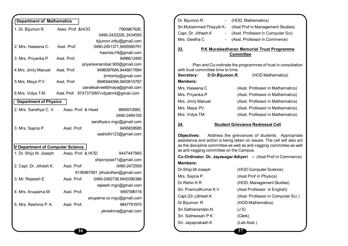| <b>Department of Mathematics</b> |                    |                                          |
|----------------------------------|--------------------|------------------------------------------|
|                                  |                    |                                          |
| 1. Dr. Bijumon R.                | Asso. Prof. & HOD  | 7560967926,                              |
|                                  |                    | 0490-2433226, 2434555                    |
|                                  |                    | bijumon.iritty@gmail.com                 |
| 2. Mrs. Haseena C.               | Asst. Prof.        | 0490-2451371,9495560791                  |
|                                  |                    | hasinidu16@gmail.com<br>9496612490       |
| 3. Mrs. Priyanka P.              | Asst. Prof.        | priyankanambiar.900@gmail.com            |
| 4. Mrs. Jimly Manuel             | Asst. Prof.        | 9496097684,9446817884                    |
|                                  |                    | jimtomly@gmail.com                       |
| 5.Mrs. Maya P.V.                 | Asst. Prof.        | 9946544584,9400510767                    |
|                                  |                    | panakkalveettilmaya@gmail.com            |
| 6.Mrs. Vidya T.M.                |                    | Asst. Prof. 9747373997vidyatm4@gmail.com |
|                                  |                    |                                          |
| <b>Department of Physics</b>     |                    |                                          |
| 2. Mrs. Sandhya C. V.            | Asso. Prof. & Head | 9995910560,                              |
|                                  |                    | 0490-2494100                             |
|                                  |                    | sandhyacv.mgc@gmail.com                  |
| 3. Mrs. Sapna P.                 | Asst. Prof.        | 9495839585                               |
|                                  |                    | sashothi123@gmail.com                    |
|                                  |                    |                                          |
| V Department of Computer Science |                    |                                          |
| 1. Dr. Shijo M. Joseph           | Asso. Prof. & HOD  | 9447447985                               |
|                                  |                    | shijomjose71@gmail.com                   |
| 2. Capt. Dr. Jithesh K.          | Asst. Prof.        | 0490-2472559                             |
|                                  |                    | 8156967691 jithukotheri@gmail.com        |
| 3. Mr. Rejeesh E                 | Asst. Prof.        | 0490-2492738,9400390386                  |
|                                  |                    |                                          |
|                                  |                    | rejeesh.mgc@gmail.com                    |
| 4. Mrs. Anupama M.               | Asst. Prof.        | 9497596116                               |
|                                  |                    | anupama.cs.mgc@gmail.com                 |
| 5. Mrs. Reshma P. K.             | Asst. Prof.        | 9847791975                               |
|                                  |                    | pkreshma@gmail.com                       |
|                                  |                    |                                          |
|                                  |                    |                                          |

| Dr. Bijumon.R.      | - (HOD, Mathematics)                                      |
|---------------------|-----------------------------------------------------------|
|                     | Sri Muhammed Thayyib K- (Asst Prof in Management Studies) |
| Capt. Dr. Jithesh K | - (Asst. Professor in Computer Sci)                       |
| Mrs. Geetha C       | - (Asst. Professor in Commerce)                           |
|                     |                                                           |

#### **23. P.K Muraleedharan Memorial Trust Programme Committee**

Plan and Co-ordinate the programmes of trust in consultation with trust committee time to time.

| D Dr.Bijumon.R.   | (HOD Mathematics)                |
|-------------------|----------------------------------|
|                   |                                  |
|                   | (Asst. Professor in Mathematics) |
|                   | (Asst. Professor in Mathematics) |
| Mrs. Jimly Manuel | (Asst. Professor in Mathematics) |
|                   | (Asst. Professor in Mathematics) |
|                   | (Asst. Professor in Mathematics) |
|                   |                                  |

#### **24. Student Grievance Redressal Cell**

**Objectives:** Address the grievances of students. Appropriate assistance and action is being taken on issues. The cell will also act as the discipline committee as well as anti-ragging committee as well as anti-ragging committee on the Campus.

**Co-Ordinator :Dr. Jayasagar Adiyeri –** (Asst Prof in Commerce) **Members:**

Dr Bijumon R (HOD Mathematics) Sri.Sathianandan.N. (J S) Sri. Satheesan P K (Clerk) Sri. Jayaprakash K (Lab Asst.)

Dr.Shijo M Joseph (HOD Computer Science) Mrs. Sapna P. (Asst Prof in Physics) Dr Rehin K R (HOD, Management Studies) Sri. PramodKumar K V (Asst Professor in English) Capt.(Dr.)Jithesh K (Asst. Professor in Computer Sci.)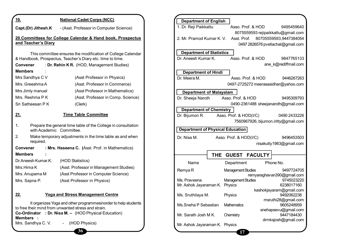| 19.                            | <b>National Cadet Corps (NCC)</b>                                                                                                                                              |  |  |  |
|--------------------------------|--------------------------------------------------------------------------------------------------------------------------------------------------------------------------------|--|--|--|
| Capt.(Dr) Jithesh.K            | - (Asst. Professor in Computer Science)                                                                                                                                        |  |  |  |
| and Teacher's Diary            | 20.Committees for College Calendar & Hand book, Prospectus                                                                                                                     |  |  |  |
| Convener<br><b>Members</b>     | This committee ensures the modification of College Calendar<br>& Handbook, Prospectus, Teacher's Diary etc. time to time.<br>: Dr. Rehin K R. (HOD, Management Studies)        |  |  |  |
| Mrs Sandhya C V                | (Asst Professor in Physics)                                                                                                                                                    |  |  |  |
| Mrs. Greeshma A                | (Asst. Professor in Commerce)                                                                                                                                                  |  |  |  |
| Mrs Jimly manuel               | (Asst Professor in Mathematics)                                                                                                                                                |  |  |  |
| Mrs. Reshma P K                | (Asst. Professor in Comp. Science)                                                                                                                                             |  |  |  |
| Sri Satheesan P K              | (Clerk)                                                                                                                                                                        |  |  |  |
| <u>21.</u>                     | <b>Time Table Committee</b>                                                                                                                                                    |  |  |  |
| 1.<br>with Academic Committee. | Prepare the general time table of the College in consultation                                                                                                                  |  |  |  |
| 2.<br>required.                | Make temporary adjustments in the time table as and when                                                                                                                       |  |  |  |
| Convener                       | : Mrs. Haseena C. (Asst. Prof. in Mathematics)                                                                                                                                 |  |  |  |
| <b>Members</b>                 |                                                                                                                                                                                |  |  |  |
| Dr. Aneesh Kumar. K.           | (HOD Statistics)                                                                                                                                                               |  |  |  |
| Mrs.Hima K                     | (Asst. Professor in Management Studies)                                                                                                                                        |  |  |  |
| Mrs. Anupama M                 | (Asst Professor in Computer Science)                                                                                                                                           |  |  |  |
| Mrs. Sapna P.                  | (Asst Professor in Physics)                                                                                                                                                    |  |  |  |
| 22.                            | <u> Yoga and Stress Management Centre</u>                                                                                                                                      |  |  |  |
| <b>Members</b>                 | It organizes Yoga and other programmesinorder to help students<br>to free their mind from unwanted stress and strain.<br>Co-Ordinator : Dr. Nisa M. - (HOD Physical Education) |  |  |  |
| Mrs. Sandhya C. V.             | - (HOD Physics)                                                                                                                                                                |  |  |  |
|                                | 36                                                                                                                                                                             |  |  |  |

| <b>Department of English</b>            |                                |                           |                      |                                      |  |  |
|-----------------------------------------|--------------------------------|---------------------------|----------------------|--------------------------------------|--|--|
| 1. Dr. Reji Paikkattu                   |                                |                           | Asso. Prof. & HOD    | 9495459640                           |  |  |
|                                         |                                |                           |                      | 8075559593 rejipaikkattu@gmail.com   |  |  |
| 2. Mr. Pramod Kumar K. V.               |                                | Asst. Prof.               |                      | 80705559593,9447384054               |  |  |
|                                         |                                |                           |                      | 0497 2826576 pvellachal@gmail.com    |  |  |
|                                         |                                |                           |                      |                                      |  |  |
| <b>Department of Statistics</b>         |                                |                           |                      |                                      |  |  |
| Dr. Aneesh Kumar K.                     |                                |                           | Asso. Prof. & HOD    | 9847765133                           |  |  |
|                                         |                                |                           |                      | ane k@rediffmail.com                 |  |  |
| <b>Department of Hindi</b>              |                                |                           |                      |                                      |  |  |
| Dr. Meera M.                            |                                |                           | Asso. Prof. & HOD    | 9446267263                           |  |  |
|                                         |                                |                           |                      | 0497-2725272 meerasasidhar@yahoo.com |  |  |
|                                         |                                |                           |                      |                                      |  |  |
| <b>Department of Malayalam</b>          |                                |                           |                      |                                      |  |  |
| Dr. Sheeja Naroth                       |                                | Asso, Prof. & HOD         |                      | 9495309793                           |  |  |
|                                         |                                |                           |                      | 0490-2361488 sheejanaroth@gmail.com  |  |  |
|                                         | <b>Department of Chemistry</b> |                           |                      |                                      |  |  |
| Dr. Bijumon R.                          |                                | Asso. Prof. & HOD(I/C)    |                      | 0490 2433226                         |  |  |
|                                         |                                |                           |                      | 7560967926, bijumon.iritty@gmail.com |  |  |
| <b>Department of Physical Education</b> |                                |                           |                      |                                      |  |  |
|                                         |                                |                           |                      |                                      |  |  |
| Dr. Nisa M.                             |                                | Asso. Prof. & HOD(I/C)    |                      | 9496453503                           |  |  |
|                                         |                                |                           |                      | nisakutty1983@gmail.com              |  |  |
|                                         |                                |                           |                      |                                      |  |  |
|                                         | THE                            |                           | <b>GUEST FACULTY</b> |                                      |  |  |
| Name                                    |                                | Department                |                      | Phone No.                            |  |  |
| Remya R                                 |                                | <b>Management Studies</b> |                      | 9497724705                           |  |  |
|                                         |                                |                           |                      | remyaraghavan390@gmail.com           |  |  |
| Ms. Praveena                            |                                | <b>Management Studies</b> |                      | 9745023220                           |  |  |
| Mr. Ashok Jayaraman K.                  |                                | Physics                   |                      | 6238017160                           |  |  |
|                                         | kashokjayaram@gmail.com        |                           |                      |                                      |  |  |
| Ms. Sruthilaya M.                       | Physics                        |                           | 9492062238           |                                      |  |  |
|                                         |                                |                           |                      | msruthi28@gmail.com                  |  |  |
| Ms.Sneha P Sebastian                    |                                | Mathematics               |                      | 9605248959                           |  |  |
|                                         |                                |                           |                      | snehapsevu@gmail.com                 |  |  |
| Mr. Sarath Josh MK.                     |                                | Chemistry                 |                      | 9447184430<br>drmksjosh@gmail.com    |  |  |
| Mr. Ashok Jayaraman K. Physics          |                                |                           |                      |                                      |  |  |
|                                         |                                |                           |                      |                                      |  |  |
|                                         |                                | 17                        |                      |                                      |  |  |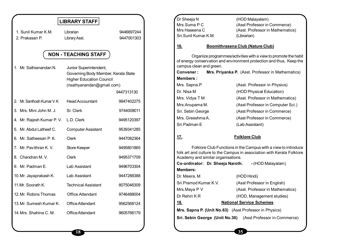|                            | <b>LIBRARY STAFF</b>                |            | Dr Sheeja N<br>Mrs.Suma P C |                                    | (HOD Malayalam)<br>(Asst Professor in Commerce)                        |
|----------------------------|-------------------------------------|------------|-----------------------------|------------------------------------|------------------------------------------------------------------------|
| 1. Sunil Kumar K.M.        | Librarian                           | 9446697244 | Mrs Haseena C               |                                    | (Asst. Professor in Mathematics)                                       |
| 2. Prakasan P.             | Library Asst.                       | 9447001303 | Sri.Sunil Kumar.K.M.        |                                    | (Librarian)                                                            |
|                            |                                     |            |                             |                                    |                                                                        |
|                            |                                     |            | <u>16.</u>                  |                                    | Boomithrasena Club (Nature Club)                                       |
|                            | <b>NON - TEACHING STAFF</b>         |            |                             |                                    | Organize programmes/activities with a view to promote the habit        |
| 1. Mr. Sathianandan N.     | Junior Superintendent,              |            | campus clean and green.     |                                    | of energy conservation and environment protection and thus, Keep the   |
|                            | Governing Body Member, Kerala State |            | Convener:                   |                                    | Mrs. Priyanka P. (Asst. Professor in Mathematics)                      |
|                            | <b>Higher Education Council</b>     |            | <b>Members:</b>             |                                    |                                                                        |
|                            | (nsathyanandan@gmail.com)           |            | Mrs. Sapna.P                |                                    | (Asst. Professor in Physics)                                           |
|                            |                                     | 9447313130 | Dr. Nisa M                  |                                    | (HOD Physical Education)                                               |
| 2. Mr. Santhosh Kumar V. K | <b>Head Accountant</b>              | 9947402275 | Mrs. Vidya T M              |                                    | (Asst. Professor in Mathematics)                                       |
|                            |                                     |            | Mrs.Anupama M.              |                                    | (Asst Professor in Computer Sci.)                                      |
| 3. Mrs. Mini John M. J.    | Sr. Clerk                           | 9744008011 | Sri. Sebin George           |                                    | (Asst Professor in Commerce)                                           |
| 4. Mr. Rajesh Kumar P. V.  | L.D. Clerk                          | 9495120397 | Mrs. Greeshma A.            |                                    | (Asst Professor in Commerce)                                           |
|                            |                                     |            | Sri.Padman E                |                                    | (Lab Assistant)                                                        |
| 5. Mr. Abdul Latheef C.    | <b>Computer Assistant</b>           | 9539341285 |                             |                                    |                                                                        |
| 6. Mr. Satheesan P. K.     | <b>Clerk</b>                        | 9447082364 | <u>17.</u>                  |                                    | <b>Folklore Club</b>                                                   |
| 7. Mr. Pavithran K. V.     | <b>Store Keeper</b>                 | 9495801865 |                             |                                    | Folklore Club Functions in the Campus with a view to introduce         |
| 8. Chandran M.V.           | <b>Clerk</b>                        | 9495371709 |                             | Academy and similar organisations. | folk art and culture to the Campus in association with Kerala Folklore |
| 9. Mr. Padman E.           | Lab Assistant                       | 9496703304 |                             | Co-ordinator: Dr. Sheeja Naroth.   | - (HOD Malayalam)                                                      |
|                            |                                     |            | <b>Members:</b>             |                                    |                                                                        |
| 10. Mr. Jayaprakash K.     | Lab Assistant                       | 9447288388 | Dr. Meera. M                |                                    | (HOD Hindi)                                                            |
| 11.Mr. Soorath K.          | <b>Technical Assistant</b>          | 8075046309 | Sri.Pramod Kumar.K.V.       |                                    | (Asst Professor in English)                                            |
| 12. Mr. Robins Thomas      | <b>Office Attendant</b>             | 9746488004 | Mrs.Maya P V<br>Dr Rehin KR |                                    | (Asst. Professor in Mathematics)<br>(HOD, Management studies)          |
| 13. Mr. Sumesh Kumar K.    | <b>Office Attendant</b>             | 9562568124 | <u>18.</u>                  |                                    | <b>National Service Schemes</b>                                        |
| 14. Mrs. Shahina C. M.     | Office Attendant                    | 9605766179 |                             |                                    | Mrs. Sapna P. (Unit No.63) (Asst Professor in Physics)                 |
|                            |                                     |            |                             |                                    | Sri. Sebin George (Unit No.30) (Asst Professor in Commerce)            |
|                            |                                     |            |                             |                                    |                                                                        |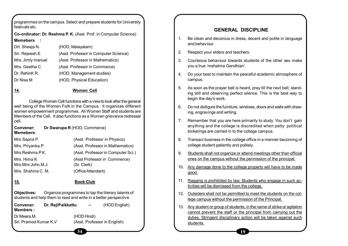programmes on the campus. Select and prepare students for University festivals etc.

**Co-ordinator: Dr. Reshma P. K.** (Asst. Prof. in Computer Science) **Memebers :**

| Drt. Sheeja N.    | (HOD, Malayalam)                      |
|-------------------|---------------------------------------|
| Sri. Rejeesh.E    | (Asst. Professor in Computer Science) |
| Mrs. Jimly manuel | (Asst. Professor in Mathematics)      |
| Mrs. Geetha C     | (Asst. Professor in Commerce)         |
| Dr. RehinK R      | (HOD, Management studies)             |
| Dr Nisa M         | (HOD, Physical Education)             |

#### **14. Women Cell**

College Women Cell functions with a view to look after the general well being of the Women Folk in the Campus. It organizes different women empowerment programmes. All Women Staff and students are Members of the Cell. It also functions as a Women grievance redressal cell.

**Convener: Dr**.**Swarupa R** (HOD, Commerce) **Memebers**:

| Mrs.Sapna P        | (Asst. Professor in Physics)       |
|--------------------|------------------------------------|
| Mrs. Priyanka.P    | (Asst. Professor in Mathematics)   |
| Mrs.Reshma.P.K.    | (Asst. Professor in Computer Sci.) |
| Mrs. Hima K        | (Asst Professor in Commerce)       |
| Mrs.Mini John.M.J. | (Sr. Clerk)                        |
| Mrs. Shahina C. M. | (Office Attendant)                 |

#### **15. Book Club**

**Objectives:** Organize programmes to tap the literary talents of students and help them to read and write in a better perspective

**34**

**Members :**

**Convener: Dr. RejiPaikkattu –** (HOD English)

Dr.Meera.M. (HOD Hindi)

Sri. Pramod Kumar K.V (Asst. Professor in English)

#### **GENERAL DISCIPLINE**

- 1. Be clean and decorous in dress, decent and polite in language and behaviour.
- 2. Respect your elders and teachers.
- 3. Courteous behaviour towards students of the other sex make you a true 'mahatma Gandhian'.
- 4. Do your best to maintain the peaceful academic atmosphere of campus.
- 5. As soon as the prayer bell is heard, pray till the next bell, standing still and observing perfect silence. This is the best way to begin the day's work.
- 6. Do not disfigure the furniture, windows, doors and walls with drawing, engravings and writing.
- 7. Remember that you are here primarily to study. You don't gain anything and the college is discredited when petty political bickerings are carried in to the college campus.
- 8. Transact business in the college office in a manner becoming of college student patiently and politely.
- 9. Students shall not organize or attend meetings other than official ones on the campus without the permission of the principal.
- 10. Any damage done to the college property will have to be made good.
- 11. Ragging is prohibited by law. Students who engage in such activities will be dismissed from the college.
- 12. Outsiders shall not be permitted to meet the students on the college campus without the permission of the Principal.
- 13. Any student or group of students, in the name of strike or agitation cannot prevent the staff or the principal from carrying out the duties. Stringent disciplinary action will be taken against such students.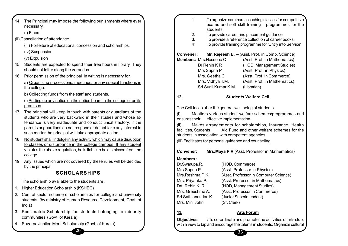|     | 14. The Principal may impose the following punishments where ever<br>necessary.                                                        |            | 1.                            |                         | students.                                                |                                  | To organize seminars, coaching classes for competitive<br>exams and soft skill training programmes for the |  |
|-----|----------------------------------------------------------------------------------------------------------------------------------------|------------|-------------------------------|-------------------------|----------------------------------------------------------|----------------------------------|------------------------------------------------------------------------------------------------------------|--|
|     | (i) Fines                                                                                                                              |            | 2.                            |                         | To provide career and placement guidance                 |                                  |                                                                                                            |  |
|     | (ii) Cancellation of attendance                                                                                                        |            | 3.                            |                         |                                                          |                                  | To provide a reference collection of career books.                                                         |  |
|     | (iii) Forfeiture of educational concession and scholarships.                                                                           |            | 4'                            |                         |                                                          |                                  | To provide training programme for 'Entry into Service'                                                     |  |
|     | (iv) Suspension                                                                                                                        |            | Convener:                     |                         |                                                          |                                  | Mr. Rejeesh E. - (Asst. Prof. in Comp. Science)                                                            |  |
|     | (v) Expulsion                                                                                                                          |            |                               | Members: Mrs. Haseena C |                                                          |                                  | (Asst. Prof. in Mathematics)                                                                               |  |
|     | 15. Students are expected to spend their free hours in library. They                                                                   |            |                               | Dr Rehin KR             |                                                          |                                  | (HOD, Management Studies)                                                                                  |  |
|     | should not loiter along the verandas                                                                                                   |            |                               | Mrs Sapna P             |                                                          |                                  | (Asst. Prof. in Physics)                                                                                   |  |
| 16. | Prior permission of the principal in writing is necessary for,                                                                         |            |                               | Mrs. Geetha C           |                                                          |                                  | (Asst. Prof. in Commerce)                                                                                  |  |
|     | a) Organising processions, meetings, or any special functions in                                                                       |            |                               |                         | Mrs. Vidhya T.M.                                         |                                  | (Asst. Prof. in Mathematics)                                                                               |  |
|     | the college.                                                                                                                           |            |                               |                         | Sri.Sunil Kumar.K.M                                      | (Librarian)                      |                                                                                                            |  |
|     | b) Collecting funds from the staff and students.                                                                                       | <u>12.</u> |                               |                         |                                                          | <b>Students Welfare Cell</b>     |                                                                                                            |  |
|     | c) Putting up any notice on the notice board in the college or on its                                                                  |            |                               |                         |                                                          |                                  |                                                                                                            |  |
|     | premises                                                                                                                               |            |                               |                         | The Cell looks after the general well being of students. |                                  |                                                                                                            |  |
|     | 17. The principal will keep in touch with parents or guardians of the                                                                  | $(i)$ .    |                               |                         |                                                          |                                  | Monitors various student welfare schemes/programmes and                                                    |  |
|     | students who are very backward in their studies and whose at-                                                                          |            | ensures their                 |                         | effective implementation.                                |                                  |                                                                                                            |  |
|     | tendance is very inadequate and conduct unsatisfactory. If the                                                                         | (ii).      |                               |                         |                                                          |                                  | Makes arrangements for scholarships, Insurance, Health                                                     |  |
|     | parents or guardians do not respond or do not take any interest in                                                                     |            | facilities, Students          |                         |                                                          |                                  | Aid Fund and other welfare schemes for the                                                                 |  |
|     | such matter the principal will take appropriate action.                                                                                |            |                               |                         | students in association with competent agencies.         |                                  |                                                                                                            |  |
| 18. | No student shall indulge in any activity which may cause disruption<br>to classes or disturbance in the college campus. If any student |            |                               |                         | (iii) Facilitates for personal guidance and counseling   |                                  |                                                                                                            |  |
|     | violates the above regulation, he is liable to be dismissed from the                                                                   |            |                               |                         |                                                          |                                  |                                                                                                            |  |
|     | college.                                                                                                                               |            | <b>Convener:</b>              |                         |                                                          |                                  | Mrs. Maya P V (Asst. Professor in Mathematics)                                                             |  |
|     | 19. Any issues which are not covered by these rules will be decided                                                                    |            | <b>Members:</b>               |                         |                                                          |                                  |                                                                                                            |  |
|     | by the principal.                                                                                                                      |            | Dr.Swarupa.R.                 |                         | (HOD, Commerce)                                          |                                  |                                                                                                            |  |
|     | <b>SCHOLARSHIPS</b>                                                                                                                    |            | Mrs Sapna P<br>Mrs.Reshma P K |                         |                                                          | (Asst Professor in Physics)      | (Asst. Professor in Computer Science)                                                                      |  |
|     |                                                                                                                                        |            | Mrs. Priyanka P.              |                         |                                                          | (Asst. Professor in Mathematics) |                                                                                                            |  |
|     | The scholarship available to the students are:                                                                                         |            | Drt. Rehin K. R.              |                         |                                                          | (HOD, Management Studies)        |                                                                                                            |  |
|     | 1. Higher Education Scholarship (KSHEC)                                                                                                |            | Mrs. Greeshma A.              |                         |                                                          | (Asst. Professor in Commerce)    |                                                                                                            |  |
|     | 2. Central sector scheme of scholarships for college and university                                                                    |            |                               | Sri.Sathianandan K.     |                                                          | (Junior Superintendent)          |                                                                                                            |  |
|     | students. (by ministry of Human Resource Development, Govt. of<br>India)                                                               |            | Mrs. Mini John                |                         | (Sr. Clerk)                                              |                                  |                                                                                                            |  |
|     |                                                                                                                                        |            |                               |                         |                                                          |                                  |                                                                                                            |  |
|     | 3. Post matric Scholarship for students belonging to minority<br>communities (Govt. of Kerala).                                        | <u>13.</u> |                               |                         |                                                          | <b>Arts Forum</b>                |                                                                                                            |  |
|     |                                                                                                                                        |            | <b>Objectives</b>             |                         |                                                          |                                  | : To co-ordinate and promote the activities of arts club,                                                  |  |
|     | 4. Suvarna Jubilee Merit Scholarship (Govt. of Kerala)                                                                                 |            |                               |                         |                                                          |                                  | with a view to tap and encourage the talents in students. Organize cultural                                |  |

shma A. (Asst. Professor in Commerce) andan K. (Junior Superintendent) ohn (Sr. Clerk) **13. Arts Forum Objectives :** To co-ordinate and promote the activities of arts club, with a view to tap and encourage the talents in students. Organize cultural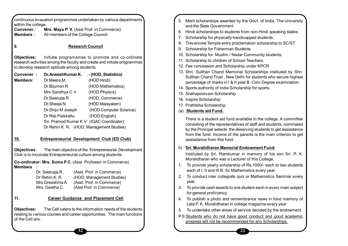| <b>Members:</b><br>9.<br>Objectives:<br>to develop research aptitude among students.<br>Convener:<br>Members:<br>Dr.Meera.M.<br>Dr. Bijumon R<br>Dr.Swarupa.R<br>Dr.Sheeja N<br>Dr Reji Paikkattu<br>10.<br>Objectives :<br>Club is to inculcate Entrepreneurial culture among students. | Dr.AneeshKumar.K.<br>Mrs Sandhya C V.<br>Dr Shijo M Joseph | All members of the College Council<br><b>Research Council</b><br>Initiate programames to promote and co-ordinate<br>research activities among the faculty and create and initiate programmes<br>-(HOD, Statistics)<br>(HOD Hindi)<br>(HOD Mathematics)<br>(HOD Physics)<br>(HOD, Commerce)<br>(HOD Malayalam)<br>(HOD Computer Science)<br>(HOD English)<br>Sri. Pramod Kumar K.V (IQAC Coordinator) | 6. Hin<br>7.<br>8.<br>9. Sch<br>10. Sch<br>11. Sch<br>12. Fee<br>13. Shr<br>14. Spc<br>15. Sne<br>16. Insp<br>17. Pra<br>(a) $Stu$ |
|------------------------------------------------------------------------------------------------------------------------------------------------------------------------------------------------------------------------------------------------------------------------------------------|------------------------------------------------------------|------------------------------------------------------------------------------------------------------------------------------------------------------------------------------------------------------------------------------------------------------------------------------------------------------------------------------------------------------------------------------------------------------|------------------------------------------------------------------------------------------------------------------------------------|
|                                                                                                                                                                                                                                                                                          |                                                            |                                                                                                                                                                                                                                                                                                                                                                                                      |                                                                                                                                    |
|                                                                                                                                                                                                                                                                                          |                                                            |                                                                                                                                                                                                                                                                                                                                                                                                      |                                                                                                                                    |
|                                                                                                                                                                                                                                                                                          |                                                            |                                                                                                                                                                                                                                                                                                                                                                                                      |                                                                                                                                    |
|                                                                                                                                                                                                                                                                                          |                                                            |                                                                                                                                                                                                                                                                                                                                                                                                      |                                                                                                                                    |
|                                                                                                                                                                                                                                                                                          |                                                            |                                                                                                                                                                                                                                                                                                                                                                                                      |                                                                                                                                    |
|                                                                                                                                                                                                                                                                                          |                                                            |                                                                                                                                                                                                                                                                                                                                                                                                      |                                                                                                                                    |
|                                                                                                                                                                                                                                                                                          |                                                            |                                                                                                                                                                                                                                                                                                                                                                                                      |                                                                                                                                    |
|                                                                                                                                                                                                                                                                                          |                                                            |                                                                                                                                                                                                                                                                                                                                                                                                      |                                                                                                                                    |
|                                                                                                                                                                                                                                                                                          |                                                            |                                                                                                                                                                                                                                                                                                                                                                                                      |                                                                                                                                    |
|                                                                                                                                                                                                                                                                                          |                                                            |                                                                                                                                                                                                                                                                                                                                                                                                      |                                                                                                                                    |
|                                                                                                                                                                                                                                                                                          |                                                            |                                                                                                                                                                                                                                                                                                                                                                                                      |                                                                                                                                    |
|                                                                                                                                                                                                                                                                                          |                                                            |                                                                                                                                                                                                                                                                                                                                                                                                      |                                                                                                                                    |
|                                                                                                                                                                                                                                                                                          |                                                            |                                                                                                                                                                                                                                                                                                                                                                                                      |                                                                                                                                    |
|                                                                                                                                                                                                                                                                                          |                                                            |                                                                                                                                                                                                                                                                                                                                                                                                      |                                                                                                                                    |
|                                                                                                                                                                                                                                                                                          |                                                            |                                                                                                                                                                                                                                                                                                                                                                                                      |                                                                                                                                    |
|                                                                                                                                                                                                                                                                                          |                                                            | Dr Rehin K. R. (HOD, Management Studies)                                                                                                                                                                                                                                                                                                                                                             |                                                                                                                                    |
|                                                                                                                                                                                                                                                                                          |                                                            |                                                                                                                                                                                                                                                                                                                                                                                                      |                                                                                                                                    |
|                                                                                                                                                                                                                                                                                          |                                                            | <b>Entrepreneurial Development Club (ED Club)</b>                                                                                                                                                                                                                                                                                                                                                    |                                                                                                                                    |
|                                                                                                                                                                                                                                                                                          |                                                            | The main objective of the Entrepreneurial Development                                                                                                                                                                                                                                                                                                                                                | b)                                                                                                                                 |
|                                                                                                                                                                                                                                                                                          |                                                            |                                                                                                                                                                                                                                                                                                                                                                                                      |                                                                                                                                    |
|                                                                                                                                                                                                                                                                                          |                                                            | Co-ordinator: Mrs. Suma P C. (Asst. Professor in Commerce)                                                                                                                                                                                                                                                                                                                                           |                                                                                                                                    |
| Members                                                                                                                                                                                                                                                                                  |                                                            |                                                                                                                                                                                                                                                                                                                                                                                                      | $1_{-}$                                                                                                                            |
| Dr. Swarupa.R.                                                                                                                                                                                                                                                                           |                                                            | (Asst. Prof. in Commerce)                                                                                                                                                                                                                                                                                                                                                                            |                                                                                                                                    |
| Dr Rehin K. R.                                                                                                                                                                                                                                                                           |                                                            | (HOD, Management Studies)                                                                                                                                                                                                                                                                                                                                                                            | 2.                                                                                                                                 |
| Mrs Greeshma A<br>Mrs. Geetha C.                                                                                                                                                                                                                                                         |                                                            | (Asst. Prof. in Commerce)<br>(Asst Prof. in Commerce)                                                                                                                                                                                                                                                                                                                                                | 3.                                                                                                                                 |
|                                                                                                                                                                                                                                                                                          |                                                            |                                                                                                                                                                                                                                                                                                                                                                                                      |                                                                                                                                    |
| 11.                                                                                                                                                                                                                                                                                      |                                                            | <b>Career Guidance and Placement Cell</b>                                                                                                                                                                                                                                                                                                                                                            | 4.                                                                                                                                 |
|                                                                                                                                                                                                                                                                                          |                                                            |                                                                                                                                                                                                                                                                                                                                                                                                      |                                                                                                                                    |
| Objectives:                                                                                                                                                                                                                                                                              |                                                            | The Cell caters to the information needs of the students                                                                                                                                                                                                                                                                                                                                             | 5.                                                                                                                                 |
| of the Cell are:                                                                                                                                                                                                                                                                         |                                                            | relating to various courses and career opportunities. The main functions                                                                                                                                                                                                                                                                                                                             | P.S:Stu                                                                                                                            |

- rit scholarships awarded by the Govt. of India, The University the State Government.
- di scholarships to students from non-Hindi speaking states.
- olarship for physically handicapped students.
- vancore Temple entry proclamation scholarship to SC/ST.
- olarship for Fisherman Students
- olarship for Muslim / Nadar Community students.
- nolarship to children of School Teachers.
- **concession and Scholarship under KPCR**
- ri. Sulthan Chand Memorial Scholarships instituted by Shri. than Chand Trust, New Delhi for students who secure highest centage of marks in I & II year B. Com Degree examination.
- orts authority of India Scholarship for sports.
- ehapoorvam Scholarship
- pire Scholarship
- athibha Scholarship
- **udents aid Fund.**

ere is a student aid fund available in the college. A committee isisting of the representatives of staff and students, nominated the Principal selects the deserving students to get assisstance m the fund. Income of the parents is the main criterion to get isstance from this fund.

**Muralidharan Memorial Endowment Fund:** 

tituted by Sri. Ramkumar in memory of his son Sri. P. K. ralidharan who was a Lecturer of this College.

- provide yearly scholarship of Rs.1000/- each to two students ch of I, II and III B. Sc Mathematics every year.
- conduct inter collegiate quiz or Mathematics Seminar every ar.
- provide cash awards to one student each in every main subject general proficiency.
- publish a photo and remembrance news in fond memory of te P. K. Muralidharan in college magazine every year.
- undertake other areas of service decided by the endowment.
- dents who do not have good conduct and good academic gress will not be recommended for any Scholarships.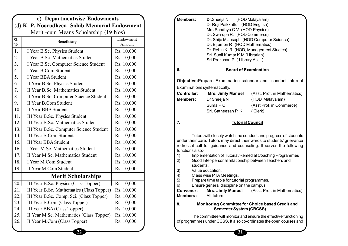|                                               |                                           | c). Departmentwise Endowments |  |  |  |  |  |
|-----------------------------------------------|-------------------------------------------|-------------------------------|--|--|--|--|--|
| (d) K. P. Noorudheen Sahib Memorial Endowment |                                           |                               |  |  |  |  |  |
| Merit - cum Means Scholarship (19 Nos)        |                                           |                               |  |  |  |  |  |
| Sl.<br>No.                                    | Beneficiary                               | Endowment<br>Amount           |  |  |  |  |  |
| 1.                                            | I Year B.Sc. Physics Student              | Rs. 10,000                    |  |  |  |  |  |
| 2.                                            | I Year B.Sc. Mathematics Student          | Rs. 10,000                    |  |  |  |  |  |
| 3.                                            | I Year B.Sc. Computer Science Student     | Rs. 10,000                    |  |  |  |  |  |
| $\overline{4}$ .                              | I Year B.Com Student                      | Rs. 10,000                    |  |  |  |  |  |
| 5.                                            | I Year BBA Student                        | Rs. 10,000                    |  |  |  |  |  |
| 6.                                            | II Year B.Sc. Physics Student             | Rs. 10,000                    |  |  |  |  |  |
| 7.                                            | II Year B.Sc. Mathematics Student         | Rs. 10,000                    |  |  |  |  |  |
| 8.                                            | II Year B.Sc. Computer Science Student    | Rs. 10,000                    |  |  |  |  |  |
| 9.                                            | <b>II Year B.Com Student</b>              | Rs. 10,000                    |  |  |  |  |  |
| 10.                                           | <b>II Year BBA Student</b>                | Rs. 10,000                    |  |  |  |  |  |
| 11.                                           | III Year B.Sc. Physics Student            | Rs. 10,000                    |  |  |  |  |  |
| 12.                                           | III Year B.Sc. Mathematics Student        | Rs. 10,000                    |  |  |  |  |  |
| 13.                                           | III Year B.Sc. Computer Science Student   | Rs. 10,000                    |  |  |  |  |  |
| 14.                                           | <b>III Year B.Com Student</b>             | Rs. 10,000                    |  |  |  |  |  |
| 15.                                           | <b>III Year BBA Student</b>               | Rs. 10,000                    |  |  |  |  |  |
| 16.                                           | I Year M.Sc. Mathematics Student          | Rs. 10,000                    |  |  |  |  |  |
| 17.                                           | II Year M.Sc. Mathematics Student         | Rs. 10,000                    |  |  |  |  |  |
| 18.                                           | I Year M.Com Student                      | Rs. 10,000                    |  |  |  |  |  |
| 19.                                           | II Year M.Com Student                     | Rs. 10,000                    |  |  |  |  |  |
|                                               | <b>Merit Scholarships</b>                 |                               |  |  |  |  |  |
| 20.1                                          | III Year B.Sc. Physics (Class Topper)     | Rs. 10,000                    |  |  |  |  |  |
| 21.                                           | III Year B.Sc. Mathematics (Class Topper) | Rs. 10,000                    |  |  |  |  |  |
| 22.                                           | III Year B.Sc. Comp. Sci. (Class Topper)  | Rs. 10,000                    |  |  |  |  |  |
| 23.                                           | III Year B.Com (Class Topper)             | Rs. 10,000                    |  |  |  |  |  |
| 24.                                           | III Year BBA (Class Topper)               | Rs. 10,000                    |  |  |  |  |  |
| 25.                                           | II Year M.Sc. Mathematics (Class Topper)  | Rs. 10,000                    |  |  |  |  |  |
| 26.                                           | II Year M.Com (Class Topper)              | Rs. 10,000                    |  |  |  |  |  |
|                                               | 22                                        |                               |  |  |  |  |  |

| Members:                                                                                                                                                                                                                                                                                                                                                                                                                                                                                                                                                                                                                                                      | <b>D</b> r.Sheeja N (HOD Malayalam)<br>Dr Reji Paikkattu (HOD English)<br>Mrs Sandhya C V (HOD Physics)<br>Dr. Swarupa R. (HOD Commerce)<br>Dr. Bijumon R (HOD Mathematics)<br>Dr. Rehin K. R. (HOD, Management Studies)<br>Sri. Sunil Kumar K.M (Librarian)<br>Sri Prakasan P (Library Asst.) | Dr. Shijo M Joseph (HOD Computer Science)                       |  |  |
|---------------------------------------------------------------------------------------------------------------------------------------------------------------------------------------------------------------------------------------------------------------------------------------------------------------------------------------------------------------------------------------------------------------------------------------------------------------------------------------------------------------------------------------------------------------------------------------------------------------------------------------------------------------|------------------------------------------------------------------------------------------------------------------------------------------------------------------------------------------------------------------------------------------------------------------------------------------------|-----------------------------------------------------------------|--|--|
| 6.                                                                                                                                                                                                                                                                                                                                                                                                                                                                                                                                                                                                                                                            | <b>Board of Examination</b>                                                                                                                                                                                                                                                                    |                                                                 |  |  |
|                                                                                                                                                                                                                                                                                                                                                                                                                                                                                                                                                                                                                                                               |                                                                                                                                                                                                                                                                                                | Objective: Prepare Examination calendar and conduct internal    |  |  |
|                                                                                                                                                                                                                                                                                                                                                                                                                                                                                                                                                                                                                                                               | Examinations systematically.                                                                                                                                                                                                                                                                   |                                                                 |  |  |
| <b>Controller:</b>                                                                                                                                                                                                                                                                                                                                                                                                                                                                                                                                                                                                                                            | <b>Mrs. Jimly Manuel</b>                                                                                                                                                                                                                                                                       | (Asst. Prof. in Mathematics)                                    |  |  |
| <b>Members:</b>                                                                                                                                                                                                                                                                                                                                                                                                                                                                                                                                                                                                                                               | Dr Sheeja N                                                                                                                                                                                                                                                                                    | (HOD Malayalam)                                                 |  |  |
|                                                                                                                                                                                                                                                                                                                                                                                                                                                                                                                                                                                                                                                               | Suma P C                                                                                                                                                                                                                                                                                       | (Asst Prof. in Commerce)                                        |  |  |
|                                                                                                                                                                                                                                                                                                                                                                                                                                                                                                                                                                                                                                                               | Sri. Satheesan P. K.                                                                                                                                                                                                                                                                           | (Clerk)                                                         |  |  |
| 7.                                                                                                                                                                                                                                                                                                                                                                                                                                                                                                                                                                                                                                                            | <b>Tutorial Council</b>                                                                                                                                                                                                                                                                        |                                                                 |  |  |
| Tutors will closely watch the conduct and progress of students<br>under their care. Tutors may direct their wards to students' grievance<br>redressal cell for guidance and counseling. It serves the following<br>functions also:-<br>1)<br>Implementation of Tutorial/Remedial Coaching Programmes<br>2)<br>Good Inter-personal relationship between Teachers and<br>students.<br>3)<br>Value education.<br>4)<br>Class wise PTA Meetings.<br>Prepare time table for tutorial programmes.<br>5)<br>Ensure general discipline on the campus.<br>6)<br>Convener:<br><b>Mrs. Jimly Manuel</b><br>(Asst. Prof. in Mathematics)<br><b>Members:</b><br>All tutors |                                                                                                                                                                                                                                                                                                |                                                                 |  |  |
| 8.                                                                                                                                                                                                                                                                                                                                                                                                                                                                                                                                                                                                                                                            |                                                                                                                                                                                                                                                                                                | <b>Monitoring Committee for Choice based Credit and</b>         |  |  |
|                                                                                                                                                                                                                                                                                                                                                                                                                                                                                                                                                                                                                                                               | <b>Semester System (CBCSS)</b>                                                                                                                                                                                                                                                                 |                                                                 |  |  |
|                                                                                                                                                                                                                                                                                                                                                                                                                                                                                                                                                                                                                                                               |                                                                                                                                                                                                                                                                                                | The committee will monitor and ensure the effective functioning |  |  |

of programmes under CCSS. It also co-ordinates the open courses and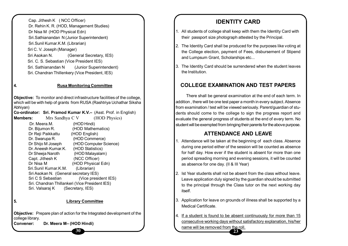Cap. Jithesh K ( NCC Officer) Dr. Rehin K. R. (HOD, Management Studies) Dr Nisa M (HOD Physical Edn) Sri.Sathianandan N (Junior Superintendent) Sri.Sunil Kumar.K.M. (Librarian) Sri C. V. Joseph (Manager) Sri Asokan N. (General Secretary, IES) Sri. C. S. Sebastian (Vice President IES) Sri. Sathianandan N (Junior Superintendent) Sri. Chandran Thillenkery (Vice President, IES)

#### **4. Rusa Monitoring Committee**

**Objective:** To monitor and direct infrastructure facilities of the college, which will be with help of grants from RUSA (Rashtriya Uchathar Siksha Abhiyan)

**Co-ordinator: Sri. Pramod Kumar K.V.–** (Asst. Prof. in English) **Members:** Mrs Sandhya C V (HOD Physics)

| Dr. Meera.M.                          | (HOD Hindi)                                    |
|---------------------------------------|------------------------------------------------|
| Dr. Bijumon R.                        | (HOD Mathematics)                              |
| Dr Reji Paikkattu                     | (HOD English)                                  |
| Dr. Swarupa R.                        | (HOD Commerce)                                 |
| Dr Shijo M Joseph                     | (HOD Computer Science)                         |
| Dr. Aneesh Kumar.K.                   | (HOD Statistics)                               |
| Dr Sheeja Naroth                      | (HOD Malayalam)                                |
| Capt. Jithesh K                       | (NCC Officer)                                  |
| Dr Nisa M                             | (HOD Physical Edn)                             |
| Sri.Sunil Kumar.K.M.                  | (Librarian)                                    |
| Sri Asokan N. (General secretary IES) |                                                |
| Sri C S Sebastian                     | (Vice president IES)                           |
|                                       | Sri. Chandran Thillankeri (Vice President IES) |
| Sri. Valsaraj K                       | (Secretary, IES)                               |

#### **5. Library Committee**

**Objective:** Prepare plan of action for the Integrated development of the college library.

**30**

**Convener: Dr. Meera M– (HOD Hindi)**

# **IDENTITY CARD**

- 1. All students of college shall keep with them the Identity Card with their passport size photograph attested by the Principal.
- 2. The Identity Card shall be produced for the purposes like voting at the College election, payment of Fees, disbursement of Stipend and Lumpsum Grant, Scholarships etc...
- 3. The Identity Card should be surrendered when the student leaves the Institution.

#### **COLLEGE EXAMINATION AND TEST PAPERS**

There shall be general examination at the end of each term. In addition , there will be one test paper a month in every subject. Absence from examination / test will be viewed seriously. Parent/guardian of students should come to the college to sign the progress report and evaluate the general progress of students at the end of every term. No student will be exempted from bringing their parents for the above purpose.

#### **ATTENDANCE AND LEAVE**

- 1. Attendance will be taken at the beginning of each class. Absence during one period either of the session will be counted as absence for half day. How ever if the student is absent for more than one period spreading morning and evening sessions, it will be counted as absence for one day. (II & III Year)
- 2. Ist Year students shall not be absent from the class without leave. Leave application duly signed by the guardian should be submitted to the principal through the Class tutor on the next working day itself.
- 3. Application for leave on grounds of illness shall be supported by a Medical Certificate.
- 4. If a student is found to be absent continuously for more than 15 consecutive working days without satisfactory explanation, his/her name will be removed from the roll.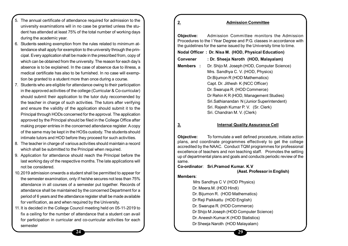- 5. The annual certificate of attendance required for admission to the university examinations will in no case be granted unless the student has attended at least 75% of the total number of working days during the academic year.
- 6. Students seeking exemption from the rules related to minimum attendance shall apply for exemption to the university through the principal. Every application shall be made in the prescribed from, copy of which can be obtained from the university. The reason for each day's absence is to be explained. In the case of absence due to illness, a medical certificate has also to be furnished. In no case will exemption be granted to a student more than once during a course.
- 7. Students who are eligible for attendance owing to their participation in the approved activities of the college (Curricular & Co-curricular) should submit their application to the tutor duly reccomended by the teacher in charge of such activities. The tutors after verifying and ensure the validity of the application should submit it to the Principal through HODs concerned for the approval. The application approved by the Principal should be filed in the College Office after making proper entries in the concerned attendance register. A copy of the same may be kept in the HOSs custody. The students should intimate tutors and HOD before they proceed for such activities.
- 8. The teacher in charge of various activities should maintain a record which shall be submitted to the Principal when required.
- 9. Application for attendance should reach the Principal before the last working day of the respective months. The late applications will not be considered.
- 10.2019 admission onwards a student shall be permitted to appear for the semester examination, only if he/she secures not less than 75% attendance in all courses of a semester put together. Records of attendance shall be maintained by the concerned Department for a period of 6 years and the attendance register shall be made available for verification, as and when required by the University.
- 11.It is decided in the College Council meeting held on 05-11-2019 to fix a ceiling for the number of attendance that a student can avail for participation in curricular and co-curricular activities for each semester

| <u>2.</u>         | <b>Admission Committee</b>                                                                                                                                                                                                                                                                                               |
|-------------------|--------------------------------------------------------------------------------------------------------------------------------------------------------------------------------------------------------------------------------------------------------------------------------------------------------------------------|
| <b>Objective:</b> | Admission Committee monitors the Admission<br>Procedures to the I Year Degree and P.G. classes in accordance with<br>the guidelines for the same issued by the University time to time.                                                                                                                                  |
|                   | Nodal Officer: Dr. Nisa M. (HOD, Physical Education)                                                                                                                                                                                                                                                                     |
| Convener          | : Dr. Sheeja Naroth (HOD, Malayalam)                                                                                                                                                                                                                                                                                     |
| <b>Members:</b>   | Dr. Shijo M. Joseph (HOD, Computer Science)<br>Mrs. Sandhya C. V. (HOD, Physics)<br>Dr. Bijumon R (HOD Mathematics)<br>Capt. Dr. Jithesh K (NCC Officer)<br>Dr. Swarupa R. (HOD Commerce)<br>Dr Rehin K R (HOD, Management Studies)<br>Sri.Sathianandan N (Junior Superintendent)<br>Sri. Rajesh Kumar P. V. (Sr. Clerk) |
|                   | Sri. Chandran M. V. (Clerk)                                                                                                                                                                                                                                                                                              |

#### **3. Internal Quality Assurance Cell**

**Objective:** To formulate a well defined procedure, initiate action plans, and coordinate programmes effectively to get the college accredited by the NAAC. Conduct TQM programmes for professional excellence of teachers and non teaching staff. Promotes the setting up of departmental plans and goals and conducts periodic review of the same.

#### **Co-ordinator**: **Sri.Pramod Kumar. K.V**

**(Asst. Professor in English)**

#### **Members**:

 Mrs Sandhya C V (HOD Physics) Dr. Meera.M. (HOD Hindi) Dr. Bijumon R. (HOD Mathematics) Dr Reji Paikkattu (HOD English) Dr. Swarupa R. (HOD Commerce) Dr Shijo M Joseph (HOD Computer Science) Dr. Aneesh Kumar.K (HOD Statistics) Dr Sheeja Naroth (HOD Malayalam)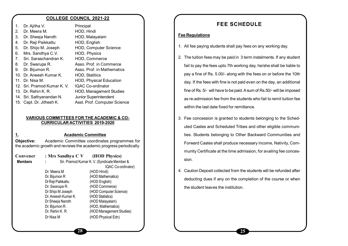#### **COLLEGE COUNCIL 2021-22**

| 1.             | Dr. Ajitha V.               | Principal                      |
|----------------|-----------------------------|--------------------------------|
| 2.             | Dr. Meera M.                | HOD, Hindi                     |
| 3.             | Dr. Sheeja Naroth           | HOD, Malayalam                 |
| 4.             | Dr. Reji Paikkattu          | HOD, English                   |
| 5.             | Dr. Shijo M. Joseph         | HOD, Computer Science          |
| 6.             | Mrs. Sandhya C.V.           | HOD, Physics                   |
| 7 <sub>1</sub> | Sri. Saraschandran K.       | HOD, Commerce                  |
| 8.             | Dr. Swarupa R.              | Asso. Prof. in Commerce        |
| 9.             | Dr. Bijumon R.              | Asso. Prof. in Mathematics     |
|                | 10. Dr. Aneesh Kumar K.     | <b>HOD, Statitics</b>          |
|                | 11. Dr. Nisa M.             | <b>HOD, Physical Education</b> |
|                | 12. Sri. Pramod Kumar K. V. | <b>IQAC Co-ordinator</b>       |
|                | 13. Dr. Rehin K. R.         | <b>HOD, Management Studies</b> |
|                | 14. Sri. Sathyanandan N.    | Junior Superintendent          |
|                | 15. Capt. Dr. Jithesh K.    | Asst. Prof. Computer Science   |
|                |                             |                                |

#### **VARIOUS COMMITTEES FOR THE ACADEMIC & CO-CURRICULAR ACTIVITIES 2019-2020**

#### **1. Academic Committee**

**Objective:** Academic Committee coordinates programmes for the academic growth and reviews the academic progress periodically.

| Convener       | : Mrs Sandhya C V (HOD Physics) |                                             |
|----------------|---------------------------------|---------------------------------------------|
| <b>Members</b> | ÷                               | Sri. Pramod Kumar K. V. (Syndicate Member & |
|                |                                 | IQAC Co-ordinator)                          |
|                | Dr. Meera M                     | (HOD Hindi)                                 |
|                | Dr. Bijumon R                   | (HOD Mathematics)                           |
|                | Dr Reji Paikkattu               | (HOD English)                               |
|                | Dr. Swarupa R.                  | (HOD Commerce)                              |
|                | Dr Shijo M Joseph               | (HOD Computer Science)                      |
|                | Dr. Aneesh Kumar K.             | (HOD Statistics)                            |
|                | Dr Sheeja Naroth                | (HOD Malayalam)                             |
|                | Dr. Bijumon R.                  | (HOD, Mathematics)                          |
|                | Dr. Rehin K. R.                 | (HOD Management Studies)                    |
|                | Dr Nisa M                       | (HOD Physical Edn)                          |

### **FEE SCHEDULE**

#### **Fee Regulations**

- 1. All fee paying students shall pay fees on any working day.
- 2. The tuition fees may be paid in 3 term instalments. If any student fail to pay the fees upto 7th working day, he/she shall be liable to pay a fine of Rs. 5.00/- along with the fees on or before the 10th day. If the fees with fine is not paid even on the day, an additional fine of Rs. 5/- will have to be paid. A sum of Rs.50/- will be imposed as re-admission fee from the students who fail to remit tuition fee within the last date fixed for remittance.
- 3. Fee concession is granted to students belonging to the Scheduled Castes and Scheduled Tribes and other eligible communities. Students belonging to Other Backward Communities and Forward Castes shall produce necessary income, Nativity, Community Certificate at the time admission, for availing fee concession.
- 4. Caution Deposit collected from the students will be refunded after deducting dues if any on the completion of the course or when the student leaves the institution.

**25**